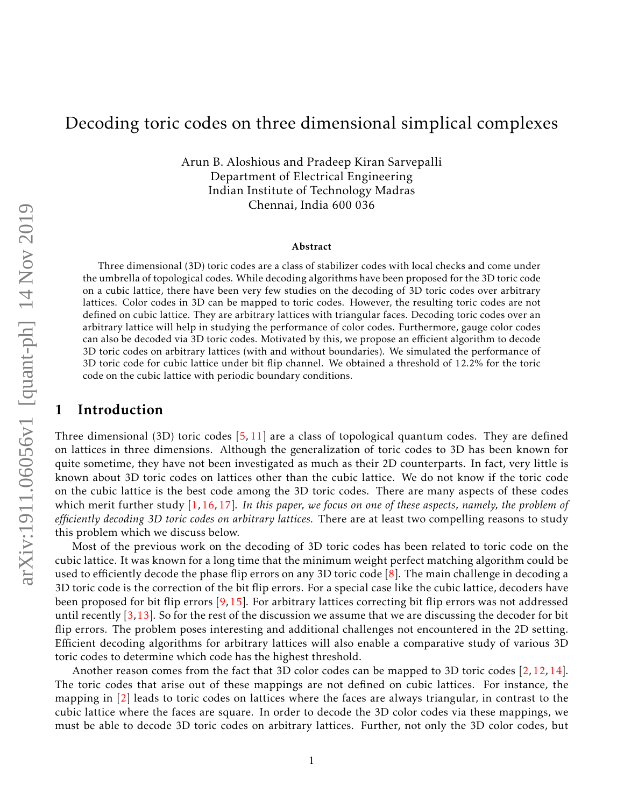# Decoding toric codes on three dimensional simplical complexes

Arun B. Aloshious and Pradeep Kiran Sarvepalli Department of Electrical Engineering Indian Institute of Technology Madras Chennai, India 600 036

#### Abstract

Three dimensional (3D) toric codes are a class of stabilizer codes with local checks and come under the umbrella of topological codes. While decoding algorithms have been proposed for the 3D toric code on a cubic lattice, there have been very few studies on the decoding of 3D toric codes over arbitrary lattices. Color codes in 3D can be mapped to toric codes. However, the resulting toric codes are not defined on cubic lattice. They are arbitrary lattices with triangular faces. Decoding toric codes over an arbitrary lattice will help in studying the performance of color codes. Furthermore, gauge color codes can also be decoded via 3D toric codes. Motivated by this, we propose an efficient algorithm to decode 3D toric codes on arbitrary lattices (with and without boundaries). We simulated the performance of 3D toric code for cubic lattice under bit flip channel. We obtained a threshold of 12.2% for the toric code on the cubic lattice with periodic boundary conditions.

## 1 Introduction

Three dimensional (3D) toric codes [5, 11] are a class of topological quantum codes. They are defined on lattices in three dimensions. Although the generalization of toric codes to 3D has been known for quite sometime, they have not been investigated as much as their 2D counterparts. In fact, very little is known about 3D toric codes on lattices other than the cubic lattice. We do not know if the toric code on the cubic lattice is the best code among the 3D toric codes. There are many aspects of these codes which merit further study [1, 16, 17]. *In this paper, we focus on one of these aspects, namely, the problem of efficiently decoding 3D toric codes on arbitrary lattices.* There are at least two compelling reasons to study this problem which we discuss below.

Most of the previous work on the decoding of 3D toric codes has been related to toric code on the cubic lattice. It was known for a long time that the minimum weight perfect matching algorithm could be used to efficiently decode the phase flip errors on any 3D toric code [8]. The main challenge in decoding a 3D toric code is the correction of the bit flip errors. For a special case like the cubic lattice, decoders have been proposed for bit flip errors [9, 15]. For arbitrary lattices correcting bit flip errors was not addressed until recently  $[3,13]$ . So for the rest of the discussion we assume that we are discussing the decoder for bit flip errors. The problem poses interesting and additional challenges not encountered in the 2D setting. Efficient decoding algorithms for arbitrary lattices will also enable a comparative study of various 3D toric codes to determine which code has the highest threshold.

Another reason comes from the fact that 3D color codes can be mapped to 3D toric codes [2, 12, 14]. The toric codes that arise out of these mappings are not defined on cubic lattices. For instance, the mapping in [2] leads to toric codes on lattices where the faces are always triangular, in contrast to the cubic lattice where the faces are square. In order to decode the 3D color codes via these mappings, we must be able to decode 3D toric codes on arbitrary lattices. Further, not only the 3D color codes, but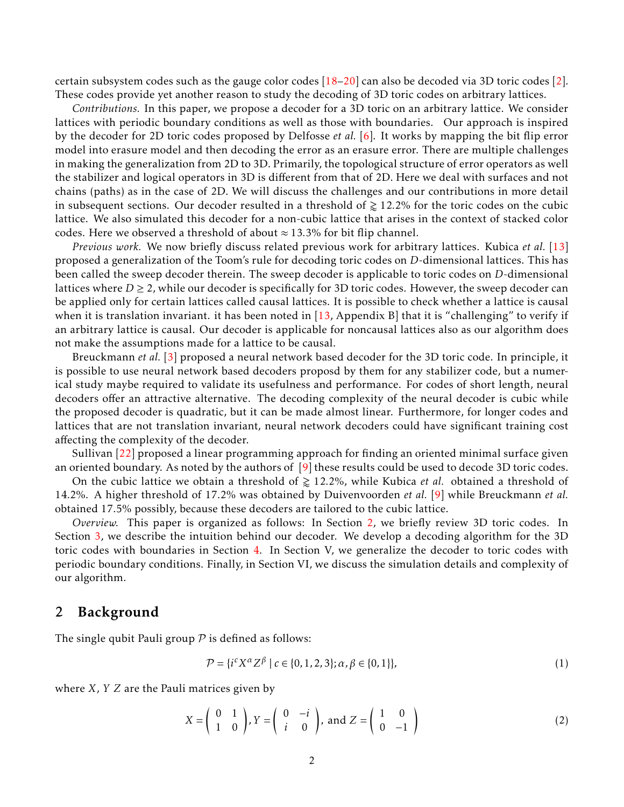certain subsystem codes such as the gauge color codes [18–20] can also be decoded via 3D toric codes [2]. These codes provide yet another reason to study the decoding of 3D toric codes on arbitrary lattices.

*Contributions.* In this paper, we propose a decoder for a 3D toric on an arbitrary lattice. We consider lattices with periodic boundary conditions as well as those with boundaries. Our approach is inspired by the decoder for 2D toric codes proposed by Delfosse *et al.* [6]. It works by mapping the bit flip error model into erasure model and then decoding the error as an erasure error. There are multiple challenges in making the generalization from 2D to 3D. Primarily, the topological structure of error operators as well the stabilizer and logical operators in 3D is different from that of 2D. Here we deal with surfaces and not chains (paths) as in the case of 2D. We will discuss the challenges and our contributions in more detail in subsequent sections. Our decoder resulted in a threshold of  $\geq 12.2\%$  for the toric codes on the cubic lattice. We also simulated this decoder for a non-cubic lattice that arises in the context of stacked color codes. Here we observed a threshold of about  $\approx$  13.3% for bit flip channel.

*Previous work.* We now briefly discuss related previous work for arbitrary lattices. Kubica *et al.* [13] proposed a generalization of the Toom's rule for decoding toric codes on *D*-dimensional lattices. This has been called the sweep decoder therein. The sweep decoder is applicable to toric codes on *D*-dimensional lattices where  $D \ge 2$ , while our decoder is specifically for 3D toric codes. However, the sweep decoder can be applied only for certain lattices called causal lattices. It is possible to check whether a lattice is causal when it is translation invariant. it has been noted in [13, Appendix B] that it is "challenging" to verify if an arbitrary lattice is causal. Our decoder is applicable for noncausal lattices also as our algorithm does not make the assumptions made for a lattice to be causal.

Breuckmann *et al.* [3] proposed a neural network based decoder for the 3D toric code. In principle, it is possible to use neural network based decoders proposd by them for any stabilizer code, but a numerical study maybe required to validate its usefulness and performance. For codes of short length, neural decoders offer an attractive alternative. The decoding complexity of the neural decoder is cubic while the proposed decoder is quadratic, but it can be made almost linear. Furthermore, for longer codes and lattices that are not translation invariant, neural network decoders could have significant training cost affecting the complexity of the decoder.

Sullivan [22] proposed a linear programming approach for finding an oriented minimal surface given an oriented boundary. As noted by the authors of [9] these results could be used to decode 3D toric codes.

On the cubic lattice we obtain a threshold of  $\geq 12.2\%$ , while Kubica *et al.* obtained a threshold of 14.2%. A higher threshold of 17.2% was obtained by Duivenvoorden *et al.* [9] while Breuckmann *et al.* obtained 17.5% possibly, because these decoders are tailored to the cubic lattice.

*Overview.* This paper is organized as follows: In Section 2, we briefly review 3D toric codes. In Section 3, we describe the intuition behind our decoder. We develop a decoding algorithm for the 3D toric codes with boundaries in Section 4. In Section V, we generalize the decoder to toric codes with periodic boundary conditions. Finally, in Section VI, we discuss the simulation details and complexity of our algorithm.

## 2 Background

The single qubit Pauli group  $P$  is defined as follows:

$$
\mathcal{P} = \{ i^c X^\alpha Z^\beta \mid c \in \{0, 1, 2, 3\}; \alpha, \beta \in \{0, 1\} \},\tag{1}
$$

where *X*, *Y Z* are the Pauli matrices given by

$$
X = \begin{pmatrix} 0 & 1 \\ 1 & 0 \end{pmatrix}, Y = \begin{pmatrix} 0 & -i \\ i & 0 \end{pmatrix}, \text{ and } Z = \begin{pmatrix} 1 & 0 \\ 0 & -1 \end{pmatrix}
$$
 (2)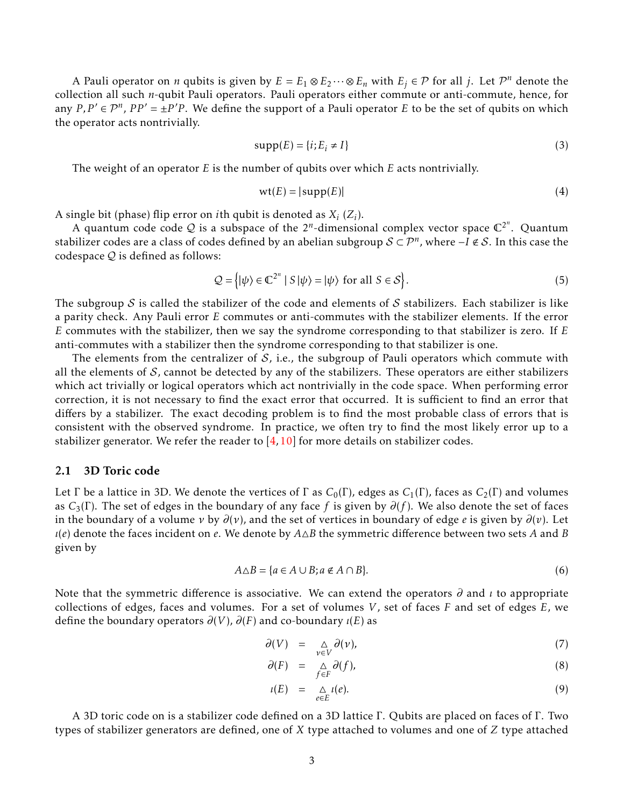A Pauli operator on *n* qubits is given by  $E = E_1 \otimes E_2 \cdots \otimes E_n$  with  $E_j \in \mathcal{P}$  for all *j*. Let  $\mathcal{P}^n$  denote the collection all such *n*-qubit Pauli operators. Pauli operators either commute or anti-commute, hence, for any  $P, P' \in \mathcal{P}^n$ ,  $PP' = \pm P'P$ . We define the support of a Pauli operator *E* to be the set of qubits on which the operator acts nontrivially.

$$
supp(E) = \{i; E_i \neq I\}
$$
\n(3)

The weight of an operator *E* is the number of qubits over which *E* acts nontrivially.

$$
wt(E) = |supp(E)|
$$
\n(4)

A single bit (phase) flip error on *i*th qubit is denoted as *X<sup>i</sup>* (*Z<sup>i</sup>* ).

A quantum code code Q is a subspace of the  $2^n$ -dimensional complex vector space  $\mathbb{C}^{2^n}$ . Quantum stabilizer codes are a class of codes defined by an abelian subgroup  $\mathcal{S} \subset \mathcal{P}^n$ , where −*I* ∉  $\mathcal{S}$ . In this case the codespace  $Q$  is defined as follows:

$$
\mathcal{Q} = \{ |\psi\rangle \in \mathbb{C}^{2^n} \mid S | \psi \rangle = | \psi \rangle \text{ for all } S \in \mathcal{S} \}.
$$
 (5)

The subgroup  $S$  is called the stabilizer of the code and elements of  $S$  stabilizers. Each stabilizer is like a parity check. Any Pauli error *E* commutes or anti-commutes with the stabilizer elements. If the error *E* commutes with the stabilizer, then we say the syndrome corresponding to that stabilizer is zero. If *E* anti-commutes with a stabilizer then the syndrome corresponding to that stabilizer is one.

The elements from the centralizer of  $S$ , i.e., the subgroup of Pauli operators which commute with all the elements of  $S$ , cannot be detected by any of the stabilizers. These operators are either stabilizers which act trivially or logical operators which act nontrivially in the code space. When performing error correction, it is not necessary to find the exact error that occurred. It is sufficient to find an error that differs by a stabilizer. The exact decoding problem is to find the most probable class of errors that is consistent with the observed syndrome. In practice, we often try to find the most likely error up to a stabilizer generator. We refer the reader to  $[4,10]$  for more details on stabilizer codes.

## 2.1 3D Toric code

Let  $\Gamma$  be a lattice in 3D. We denote the vertices of  $\Gamma$  as  $C_0(\Gamma)$ , edges as  $C_1(\Gamma)$ , faces as  $C_2(\Gamma)$  and volumes as *C*3(Γ). The set of edges in the boundary of any face *f* is given by *∂*(*f* ). We also denote the set of faces in the boundary of a volume *ν* by *∂*(*ν*), and the set of vertices in boundary of edge *e* is given by *∂*(*v*). Let  $\iota$ (*e*) denote the faces incident on *e*. We denote by  $A \Delta B$  the symmetric difference between two sets *A* and *B* given by

$$
A \triangle B = \{a \in A \cup B; a \notin A \cap B\}.
$$
 (6)

Note that the symmetric difference is associative. We can extend the operators *∂* and *ι* to appropriate collections of edges, faces and volumes. For a set of volumes *V*, set of faces *F* and set of edges *E*, we define the boundary operators *∂*(*V*), *∂*(*F*) and co-boundary *ι*(*E*) as

$$
\partial(V) = \sum_{\nu \in V} \partial(\nu), \tag{7}
$$

$$
\partial(F) = \sum_{f \in F} \partial(f), \tag{8}
$$

$$
\iota(E) = \underset{e \in E}{\triangle} \iota(e). \tag{9}
$$

A 3D toric code on is a stabilizer code defined on a 3D lattice Γ. Qubits are placed on faces of Γ. Two types of stabilizer generators are defined, one of *X* type attached to volumes and one of *Z* type attached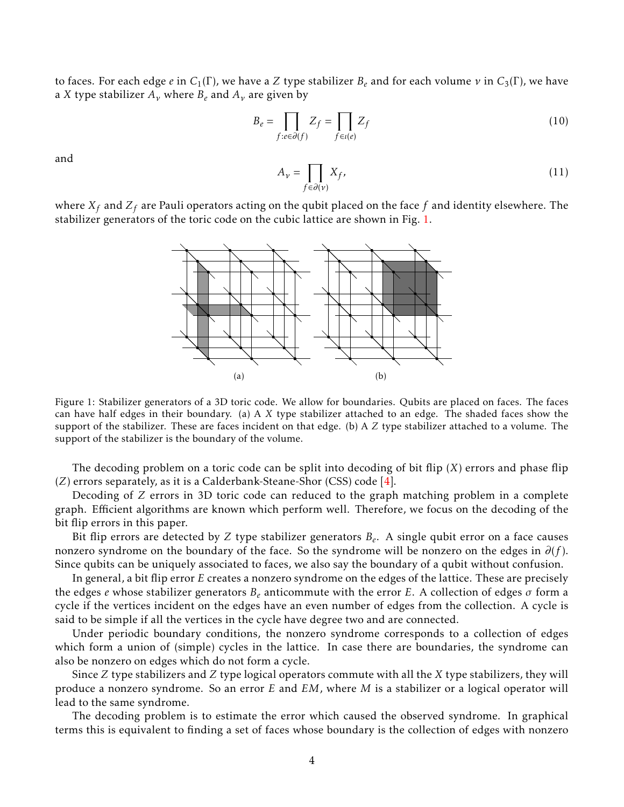to faces. For each edge *e* in  $C_1(\Gamma)$ , we have a *Z* type stabilizer  $B_e$  and for each volume  $\nu$  in  $C_3(\Gamma)$ , we have a *X* type stabilizer  $A_v$  where  $B_e$  and  $A_v$  are given by

$$
B_e = \prod_{f:e \in \partial(f)} Z_f = \prod_{f \in t(e)} Z_f \tag{10}
$$

and

$$
A_{\nu} = \prod_{f \in \partial(\nu)} X_f,
$$
\n(11)

where *X<sup>f</sup>* and *Z<sup>f</sup>* are Pauli operators acting on the qubit placed on the face *f* and identity elsewhere. The stabilizer generators of the toric code on the cubic lattice are shown in Fig. 1.



Figure 1: Stabilizer generators of a 3D toric code. We allow for boundaries. Qubits are placed on faces. The faces can have half edges in their boundary. (a) A *X* type stabilizer attached to an edge. The shaded faces show the support of the stabilizer. These are faces incident on that edge. (b) A *Z* type stabilizer attached to a volume. The support of the stabilizer is the boundary of the volume.

The decoding problem on a toric code can be split into decoding of bit flip (*X*) errors and phase flip (*Z*) errors separately, as it is a Calderbank-Steane-Shor (CSS) code [4].

Decoding of *Z* errors in 3D toric code can reduced to the graph matching problem in a complete graph. Efficient algorithms are known which perform well. Therefore, we focus on the decoding of the bit flip errors in this paper.

Bit flip errors are detected by *Z* type stabilizer generators *B<sup>e</sup>* . A single qubit error on a face causes nonzero syndrome on the boundary of the face. So the syndrome will be nonzero on the edges in  $\partial(f)$ . Since qubits can be uniquely associated to faces, we also say the boundary of a qubit without confusion.

In general, a bit flip error *E* creates a nonzero syndrome on the edges of the lattice. These are precisely the edges *e* whose stabilizer generators *B<sup>e</sup>* anticommute with the error *E*. A collection of edges *σ* form a cycle if the vertices incident on the edges have an even number of edges from the collection. A cycle is said to be simple if all the vertices in the cycle have degree two and are connected.

Under periodic boundary conditions, the nonzero syndrome corresponds to a collection of edges which form a union of (simple) cycles in the lattice. In case there are boundaries, the syndrome can also be nonzero on edges which do not form a cycle.

Since *Z* type stabilizers and *Z* type logical operators commute with all the *X* type stabilizers, they will produce a nonzero syndrome. So an error *E* and *EM*, where *M* is a stabilizer or a logical operator will lead to the same syndrome.

The decoding problem is to estimate the error which caused the observed syndrome. In graphical terms this is equivalent to finding a set of faces whose boundary is the collection of edges with nonzero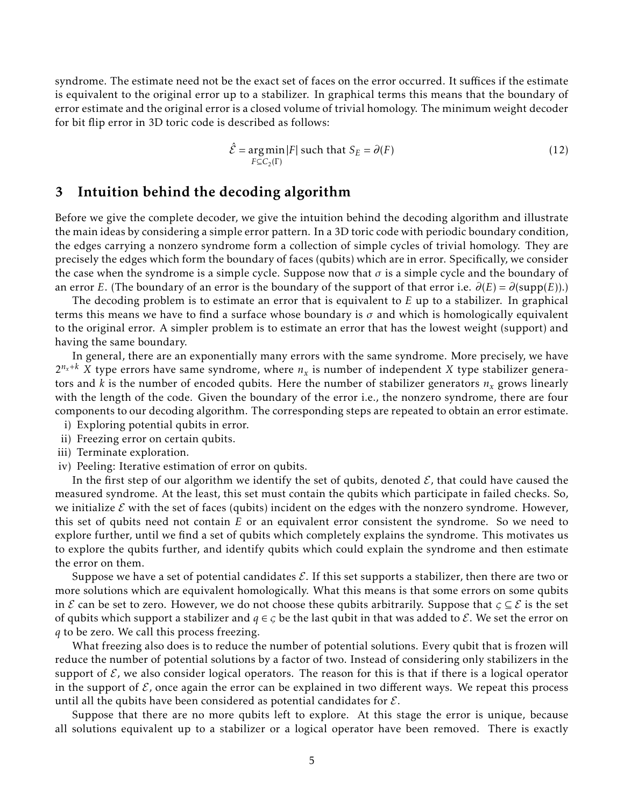syndrome. The estimate need not be the exact set of faces on the error occurred. It suffices if the estimate is equivalent to the original error up to a stabilizer. In graphical terms this means that the boundary of error estimate and the original error is a closed volume of trivial homology. The minimum weight decoder for bit flip error in 3D toric code is described as follows:

$$
\hat{\mathcal{E}} = \underset{F \subseteq C_2(\Gamma)}{\arg \min} |F| \text{ such that } S_E = \partial(F) \tag{12}
$$

## 3 Intuition behind the decoding algorithm

Before we give the complete decoder, we give the intuition behind the decoding algorithm and illustrate the main ideas by considering a simple error pattern. In a 3D toric code with periodic boundary condition, the edges carrying a nonzero syndrome form a collection of simple cycles of trivial homology. They are precisely the edges which form the boundary of faces (qubits) which are in error. Specifically, we consider the case when the syndrome is a simple cycle. Suppose now that  $\sigma$  is a simple cycle and the boundary of an error *E*. (The boundary of an error is the boundary of the support of that error i.e.  $\partial(E) = \partial(\text{supp}(E))$ .)

The decoding problem is to estimate an error that is equivalent to *E* up to a stabilizer. In graphical terms this means we have to find a surface whose boundary is  $\sigma$  and which is homologically equivalent to the original error. A simpler problem is to estimate an error that has the lowest weight (support) and having the same boundary.

In general, there are an exponentially many errors with the same syndrome. More precisely, we have  $2^{n_x+k}$  *X* type errors have same syndrome, where  $n_x$  is number of independent *X* type stabilizer generators and *k* is the number of encoded qubits. Here the number of stabilizer generators *n<sup>x</sup>* grows linearly with the length of the code. Given the boundary of the error i.e., the nonzero syndrome, there are four components to our decoding algorithm. The corresponding steps are repeated to obtain an error estimate.

- i) Exploring potential qubits in error.
- ii) Freezing error on certain qubits.
- iii) Terminate exploration.
- iv) Peeling: Iterative estimation of error on qubits.

In the first step of our algorithm we identify the set of qubits, denoted  $\mathcal{E}$ , that could have caused the measured syndrome. At the least, this set must contain the qubits which participate in failed checks. So, we initialize  $\mathcal E$  with the set of faces (qubits) incident on the edges with the nonzero syndrome. However, this set of qubits need not contain *E* or an equivalent error consistent the syndrome. So we need to explore further, until we find a set of qubits which completely explains the syndrome. This motivates us to explore the qubits further, and identify qubits which could explain the syndrome and then estimate the error on them.

Suppose we have a set of potential candidates  $\mathcal{E}$ . If this set supports a stabilizer, then there are two or more solutions which are equivalent homologically. What this means is that some errors on some qubits in E can be set to zero. However, we do not choose these qubits arbitrarily. Suppose that  $\zeta \subseteq \mathcal{E}$  is the set of qubits which support a stabilizer and  $q \in \mathcal{G}$  be the last qubit in that was added to  $\mathcal{E}$ . We set the error on *q* to be zero. We call this process freezing.

What freezing also does is to reduce the number of potential solutions. Every qubit that is frozen will reduce the number of potential solutions by a factor of two. Instead of considering only stabilizers in the support of  $\mathcal E$ , we also consider logical operators. The reason for this is that if there is a logical operator in the support of  $\mathcal{E}$ , once again the error can be explained in two different ways. We repeat this process until all the qubits have been considered as potential candidates for  $\mathcal{E}$ .

Suppose that there are no more qubits left to explore. At this stage the error is unique, because all solutions equivalent up to a stabilizer or a logical operator have been removed. There is exactly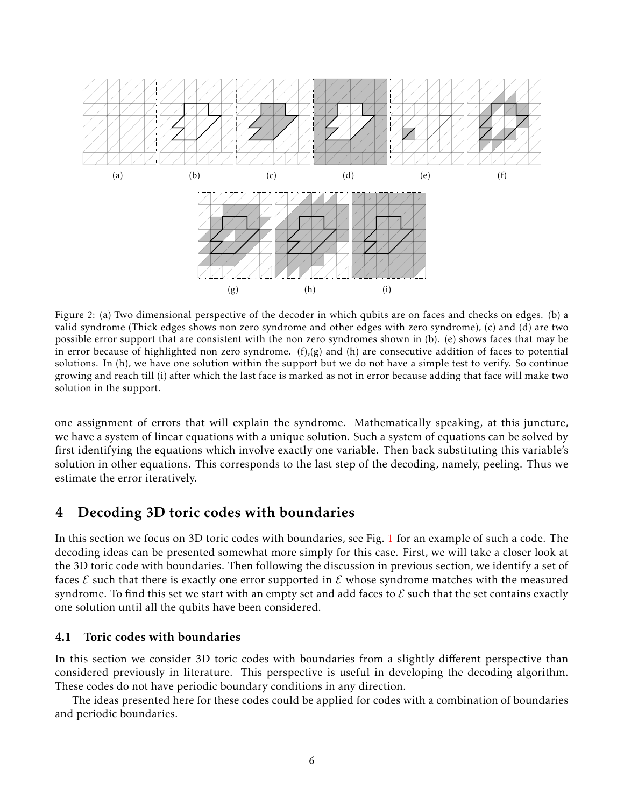

Figure 2: (a) Two dimensional perspective of the decoder in which qubits are on faces and checks on edges. (b) a valid syndrome (Thick edges shows non zero syndrome and other edges with zero syndrome), (c) and (d) are two possible error support that are consistent with the non zero syndromes shown in (b). (e) shows faces that may be in error because of highlighted non zero syndrome.  $(f)(g)$  and  $(h)$  are consecutive addition of faces to potential solutions. In (h), we have one solution within the support but we do not have a simple test to verify. So continue growing and reach till (i) after which the last face is marked as not in error because adding that face will make two solution in the support.

one assignment of errors that will explain the syndrome. Mathematically speaking, at this juncture, we have a system of linear equations with a unique solution. Such a system of equations can be solved by first identifying the equations which involve exactly one variable. Then back substituting this variable's solution in other equations. This corresponds to the last step of the decoding, namely, peeling. Thus we estimate the error iteratively.

# 4 Decoding 3D toric codes with boundaries

In this section we focus on 3D toric codes with boundaries, see Fig. 1 for an example of such a code. The decoding ideas can be presented somewhat more simply for this case. First, we will take a closer look at the 3D toric code with boundaries. Then following the discussion in previous section, we identify a set of faces  $\mathcal E$  such that there is exactly one error supported in  $\mathcal E$  whose syndrome matches with the measured syndrome. To find this set we start with an empty set and add faces to  $\mathcal E$  such that the set contains exactly one solution until all the qubits have been considered.

## 4.1 Toric codes with boundaries

In this section we consider 3D toric codes with boundaries from a slightly different perspective than considered previously in literature. This perspective is useful in developing the decoding algorithm. These codes do not have periodic boundary conditions in any direction.

The ideas presented here for these codes could be applied for codes with a combination of boundaries and periodic boundaries.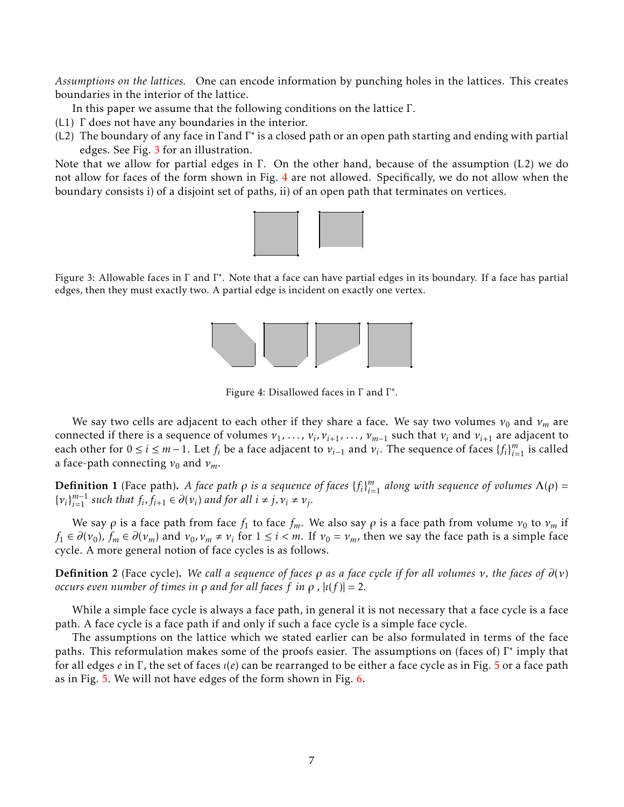*Assumptions on the lattices.* One can encode information by punching holes in the lattices. This creates boundaries in the interior of the lattice.

In this paper we assume that the following conditions on the lattice Γ.

- (L1) Γ does not have any boundaries in the interior.
- (L2) The boundary of any face in Γand Γ ∗ is a closed path or an open path starting and ending with partial edges. See Fig. 3 for an illustration.

Note that we allow for partial edges in  $\Gamma$ . On the other hand, because of the assumption (L2) we do not allow for faces of the form shown in Fig. 4 are not allowed. Specifically, we do not allow when the boundary consists i) of a disjoint set of paths, ii) of an open path that terminates on vertices.



Figure 3: Allowable faces in Γ and Γ\*. Note that a face can have partial edges in its boundary. If a face has partial edges, then they must exactly two. A partial edge is incident on exactly one vertex.



Figure 4: Disallowed faces in  $\Gamma$  and  $\Gamma^*$ .

We say two cells are adjacent to each other if they share a face. We say two volumes  $v_0$  and  $v_m$  are connected if there is a sequence of volumes  $v_1, \ldots, v_i, v_{i+1}, \ldots, v_{m-1}$  such that  $v_i$  and  $v_{i+1}$  are adjacent to each other for  $0 \le i \le m-1$ . Let  $f_i$  be a face adjacent to  $v_{i-1}$  and  $v_i$ . The sequence of faces  $\{f_i\}_{i=1}^m$  is called a face-path connecting  $v_0$  and  $v_m$ .

**Definition 1** (Face path). *A face path*  $\rho$  *is a sequence of faces*  $\{f_i\}_{i=1}^m$  *along with sequence of volumes*  $\Lambda(\rho)$  =  $\{v_i\}_{i=1}^{m-1}$  *such that*  $f_i, \overline{f_{i+1}} \in \partial(v_i)$  *and for all*  $i \neq j, v_i \neq v_j$ *.* 

We say  $\rho$  is a face path from face  $f_1$  to face  $f_m$ . We also say  $\rho$  is a face path from volume  $v_0$  to  $v_m$  if  $f_1 \in \partial(v_0)$ ,  $f_m \in \partial(v_m)$  and  $v_0, v_m \neq v_i$  for  $1 \leq i < m$ . If  $v_0 = v_m$ , then we say the face path is a simple face cycle. A more general notion of face cycles is as follows.

Definition 2 (Face cycle). *We call a sequence of faces ρ as a face cycle if for all volumes ν, the faces of ∂*(*ν*) *occurs even number of times in*  $\rho$  *and for all faces f in*  $\rho$ ,  $|u(f)| = 2$ .

While a simple face cycle is always a face path, in general it is not necessary that a face cycle is a face path. A face cycle is a face path if and only if such a face cycle is a simple face cycle.

The assumptions on the lattice which we stated earlier can be also formulated in terms of the face paths. This reformulation makes some of the proofs easier. The assumptions on (faces of) Γ<sup>\*</sup> imply that for all edges *e* in Γ, the set of faces *ι*(*e*) can be rearranged to be either a face cycle as in Fig. 5 or a face path as in Fig. 5. We will not have edges of the form shown in Fig. 6.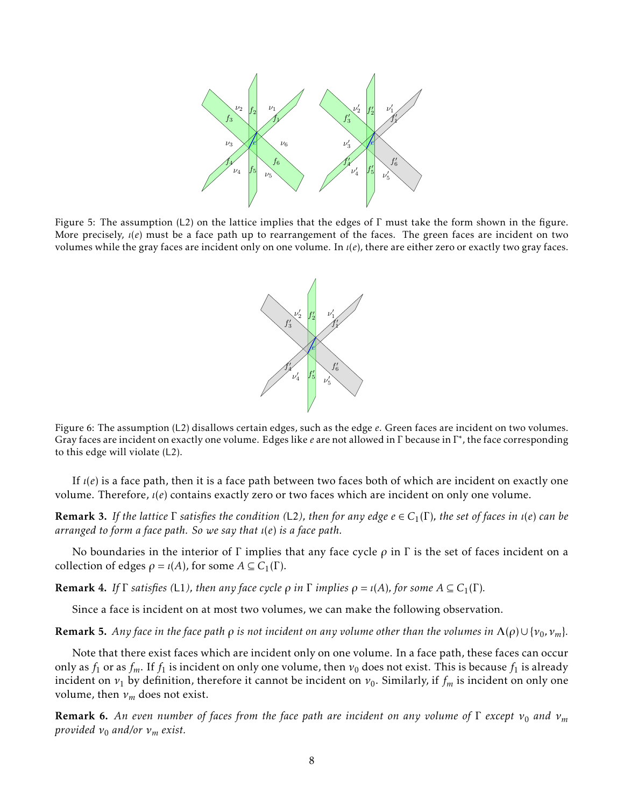

Figure 5: The assumption (L2) on the lattice implies that the edges of Γ must take the form shown in the figure. More precisely, *ι*(*e*) must be a face path up to rearrangement of the faces. The green faces are incident on two volumes while the gray faces are incident only on one volume. In *ι*(*e*), there are either zero or exactly two gray faces.



Figure 6: The assumption (L2) disallows certain edges, such as the edge *e*. Green faces are incident on two volumes. Gray faces are incident on exactly one volume. Edges like *e* are not allowed in Γ because in Γ ∗ , the face corresponding to this edge will violate (L2).

If *ι*(*e*) is a face path, then it is a face path between two faces both of which are incident on exactly one volume. Therefore, *ι*(*e*) contains exactly zero or two faces which are incident on only one volume.

Remark 3. *If the lattice* Γ *satisfies the condition (*L2*), then for any edge e* ∈ *C*1(Γ)*, the set of faces in ι*(*e*) *can be arranged to form a face path. So we say that ι*(*e*) *is a face path.*

No boundaries in the interior of Γ implies that any face cycle *ρ* in Γ is the set of faces incident on a collection of edges  $\rho = \iota(A)$ , for some  $A \subseteq C_1(\Gamma)$ .

**Remark 4.** *If*  $\Gamma$  *satisfies* (L1), then any face cycle  $\rho$  *in*  $\Gamma$  *implies*  $\rho = \iota(A)$ , for some  $A \subseteq C_1(\Gamma)$ .

Since a face is incident on at most two volumes, we can make the following observation.

**Remark 5.** Any face in the face path  $\rho$  is not incident on any volume other than the volumes in  $\Lambda(\rho) \cup \{v_0, v_m\}$ .

Note that there exist faces which are incident only on one volume. In a face path, these faces can occur only as  $f_1$  or as  $f_m$ . If  $f_1$  is incident on only one volume, then  $v_0$  does not exist. This is because  $f_1$  is already incident on  $v_1$  by definition, therefore it cannot be incident on  $v_0$ . Similarly, if  $f_m$  is incident on only one volume, then *ν<sup>m</sup>* does not exist.

Remark 6. An even number of faces from the face path are incident on any volume of Γ except  $v_0$  and  $v_m$ *provided*  $v_0$  *and/or*  $v_m$  *exist.*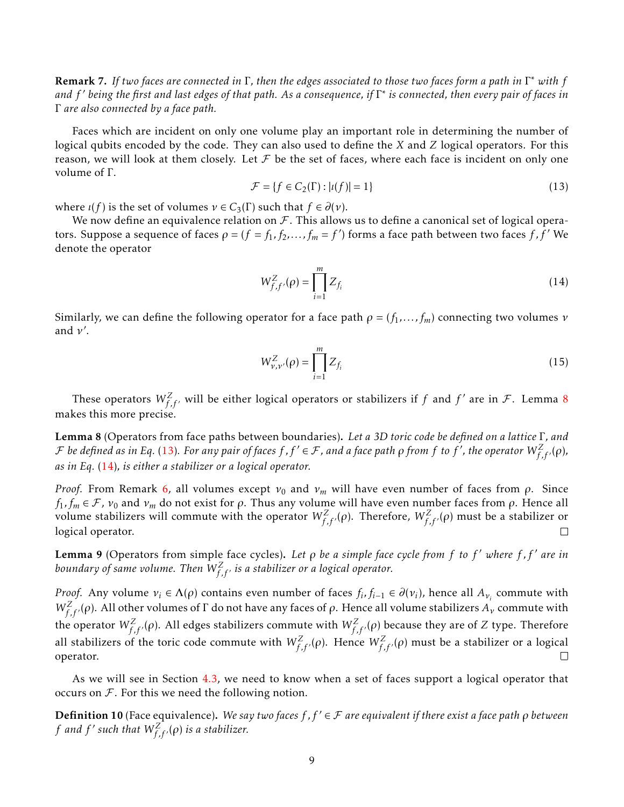Remark 7. *If two faces are connected in* Γ*, then the edges associated to those two faces form a path in* Γ <sup>∗</sup> *with f and f* ′ *being the first and last edges of that path. As a consequence, if* Γ ∗ *is connected, then every pair of faces in* Γ *are also connected by a face path.*

Faces which are incident on only one volume play an important role in determining the number of logical qubits encoded by the code. They can also used to define the *X* and *Z* logical operators. For this reason, we will look at them closely. Let  $\mathcal F$  be the set of faces, where each face is incident on only one volume of Γ.

$$
\mathcal{F} = \{ f \in C_2(\Gamma) : |\iota(f)| = 1 \}
$$
\n
$$
(13)
$$

where  $\iota(f)$  is the set of volumes  $\nu \in C_3(\Gamma)$  such that  $f \in \partial(\nu)$ .

We now define an equivalence relation on  $F$ . This allows us to define a canonical set of logical operators. Suppose a sequence of faces  $\rho = (f = f_1, f_2, \ldots, f_m = f')$  forms a face path between two faces  $f, f'$  We denote the operator

$$
W_{f,f'}^Z(\rho) = \prod_{i=1}^m Z_{f_i}
$$
 (14)

Similarly, we can define the following operator for a face path  $\rho = (f_1, \ldots, f_m)$  connecting two volumes  $\nu$ and *ν* ′ .

$$
W_{\nu,\nu'}^Z(\rho) = \prod_{i=1}^m Z_{f_i}
$$
 (15)

These operators  $W^Z_{f,f'}$  will be either logical operators or stabilizers if  $f$  and  $f'$  are in  ${\cal F}.$  Lemma  $8$ makes this more precise.

Lemma 8 (Operators from face paths between boundaries). *Let a 3D toric code be defined on a lattice* Γ*, and*  ${\cal F}$  be defined as in Eq. (13). For any pair of faces  $f$  ,  $f'\in{\cal F}$  , and a face path  $\rho$  from  $f$  to  $f'$  , the operator  $W_{f,f'}^Z(\rho)$ , *as in Eq.* (14)*, is either a stabilizer or a logical operator.*

*Proof.* From Remark 6, all volumes except  $v_0$  and  $v_m$  will have even number of faces from  $\rho$ . Since  $f_1, f_m \in \mathcal{F}$ ,  $v_0$  and  $v_m$  do not exist for  $\rho$ . Thus any volume will have even number faces from  $\rho$ . Hence all volume stabilizers will commute with the operator  $W^Z_{f,f'}(\rho)$ . Therefore,  $W^Z_{f,f'}(\rho)$  must be a stabilizer or logical operator.  $\Box$ 

Lemma 9 (Operators from simple face cycles). *Let ρ be a simple face cycle from f to f* ′ *where f , f* ′ *are in boundary of same volume. Then W<sup>Z</sup> f ,f* ′ *is a stabilizer or a logical operator.*

*Proof.* Any volume  $v_i \in \Lambda(\rho)$  contains even number of faces  $f_i, f_{i-1} \in \partial(v_i)$ , hence all  $A_{v_i}$  commute with *W*<sup>*Z*</sup><sub>*f*</sub>,*f*</sup>/ $(\rho)$ . All other volumes of Γ do not have any faces of  $\rho$ . Hence all volume stabilizers  $A_\nu$  commute with the operator  $W^Z_{f,f'}(\rho)$ . All edges stabilizers commute with  $W^Z_{f,f'}(\rho)$  because they are of  $Z$  type. Therefore all stabilizers of the toric code commute with  $W_{f,f'}^Z(\rho)$ . Hence  $W_{f,f'}^Z(\rho)$  must be a stabilizer or a logical operator.

As we will see in Section 4.3, we need to know when a set of faces support a logical operator that occurs on  $\mathcal F$ . For this we need the following notion.

Definition 10 (Face equivalence). *We say two faces f , f* ′ ∈ F *are equivalent if there exist a face path ρ between f* and  $f'$  such that  $W^Z_{f,f'}(\rho)$  is a stabilizer.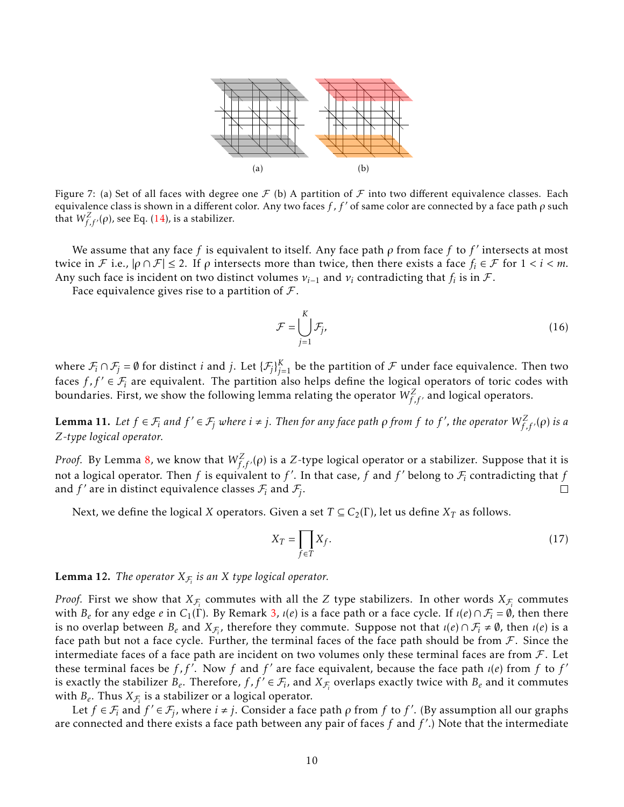

Figure 7: (a) Set of all faces with degree one  $\mathcal F$  (b) A partition of  $\mathcal F$  into two different equivalence classes. Each equivalence class is shown in a different color. Any two faces *f* , *f* ′ of same color are connected by a face path *ρ* such that  $W^Z_{f,f'}(\rho)$ , see Eq. (14), is a stabilizer.

We assume that any face *f* is equivalent to itself. Any face path *ρ* from face *f* to *f* ′ intersects at most twice in *F* i.e.,  $|ρ ∩ F| ≤ 2$ . If *ρ* intersects more than twice, then there exists a face  $f_i ∈ F$  for  $1 < i < m$ . Any such face is incident on two distinct volumes  $v_{i-1}$  and  $v_i$  contradicting that  $f_i$  is in  ${\cal F}.$ 

Face equivalence gives rise to a partition of  $\mathcal{F}$ .

$$
\mathcal{F} = \bigcup_{j=1}^{K} \mathcal{F}_j,\tag{16}
$$

where  $\mathcal{F}_i \cap \mathcal{F}_j = \emptyset$  for distinct *i* and *j*. Let  $\{\mathcal{F}_j\}_{j=1}^K$  be the partition of  $\mathcal F$  under face equivalence. Then two faces  $f, f' \in \mathcal{F}_i$  are equivalent. The partition also helps define the logical operators of toric codes with boundaries. First, we show the following lemma relating the operator  $W_{f, f'}^Z$  and logical operators.

**Lemma 11.** Let  $f \in \mathcal{F}_i$  and  $f' \in \mathcal{F}_j$  where  $i \neq j$ . Then for any face path  $\rho$  from  $f$  to  $f'$ , the operator  $W_{f,f'}^Z(\rho)$  is a *Z-type logical operator.*

*Proof.* By Lemma 8, we know that  $W^Z_{f,f'}(\rho)$  is a  $Z$ -type logical operator or a stabilizer. Suppose that it is not a logical operator. Then  $f$  is equivalent to  $f'$ . In that case,  $f$  and  $f'$  belong to  $\mathcal{F}_i$  contradicting that  $f$ and  $f'$  are in distinct equivalence classes  $\mathcal{F}_i$  and  $\mathcal{F}_j$ .  $\Box$ 

Next, we define the logical *X* operators. Given a set  $T \subseteq C_2(\Gamma)$ , let us define  $X_T$  as follows.

$$
X_T = \prod_{f \in T} X_f. \tag{17}
$$

**Lemma 12.** *The operator*  $X_{\mathcal{F}_i}$  *is an X type logical operator.* 

*Proof.* First we show that  $X_{\mathcal{F}_i}$  commutes with all the  $Z$  type stabilizers. In other words  $X_{\mathcal{F}_i}$  commutes with  $B_e$  for any edge  $e$  in  $C_1(\Gamma)$ . By Remark 3,  $\iota(e)$  is a face path or a face cycle. If  $\iota(e) \cap \mathcal{F}_i = \emptyset$ , then there is no overlap between  $B_e$  and  $X_{\mathcal{F}_i}$ , therefore they commute. Suppose not that  $\iota(e) \cap \mathcal{F}_i \neq \emptyset$ , then  $\iota(e)$  is a face path but not a face cycle. Further, the terminal faces of the face path should be from  $\mathcal F$ . Since the intermediate faces of a face path are incident on two volumes only these terminal faces are from  $\mathcal{F}$ . Let these terminal faces be *f*, *f'*. Now *f* and *f'* are face equivalent, because the face path *ι*(*e*) from *f* to *f'* is exactly the stabilizer  $B_e$ . Therefore,  $f$ ,  $f' \in \mathcal{F}_i$ , and  $X_{\mathcal{F}_i}$  overlaps exactly twice with  $B_e$  and it commutes with  $B_e$ . Thus  $X_{\mathcal{F}_i}$  is a stabilizer or a logical operator.

Let  $f \in \mathcal{F}_i$  and  $f' \in \mathcal{F}_j$ , where  $i \neq j$ . Consider a face path  $\rho$  from  $f$  to  $f'$ . (By assumption all our graphs are connected and there exists a face path between any pair of faces *f* and *f* ′ .) Note that the intermediate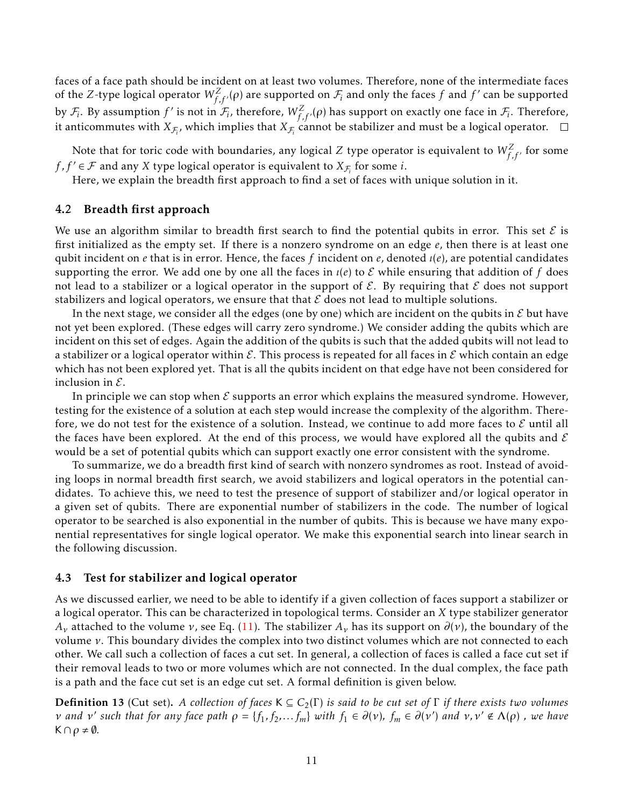faces of a face path should be incident on at least two volumes. Therefore, none of the intermediate faces of the *Z*-type logical operator  $W^Z_{f,f'}(\rho)$  are supported on  $\mathcal{F}_i$  and only the faces  $f$  and  $f'$  can be supported by  $\mathcal{F}_i$ . By assumption  $f'$  is not in  $\mathcal{F}_i$ , therefore,  $W^Z_{f,f'}(\rho)$  has support on exactly one face in  $\mathcal{F}_i$ . Therefore, it anticommutes with  $X_{\mathcal{F}_i}$ , which implies that  $X_{\mathcal{F}_i}$  cannot be stabilizer and must be a logical operator.

Note that for toric code with boundaries, any logical  $Z$  type operator is equivalent to  $W_{f, f'}^Z$  for some *f*,  $f' \in \mathcal{F}$  and any *X* type logical operator is equivalent to  $X_{\mathcal{F}_i}$  for some *i*.

Here, we explain the breadth first approach to find a set of faces with unique solution in it.

### 4.2 Breadth first approach

We use an algorithm similar to breadth first search to find the potential qubits in error. This set  $\mathcal E$  is first initialized as the empty set. If there is a nonzero syndrome on an edge *e*, then there is at least one qubit incident on *e* that is in error. Hence, the faces *f* incident on *e*, denoted *ι*(*e*), are potential candidates supporting the error. We add one by one all the faces in  $\iota(e)$  to E while ensuring that addition of f does not lead to a stabilizer or a logical operator in the support of  $\mathcal{E}$ . By requiring that  $\mathcal{E}$  does not support stabilizers and logical operators, we ensure that that  $\mathcal E$  does not lead to multiple solutions.

In the next stage, we consider all the edges (one by one) which are incident on the qubits in  $\mathcal E$  but have not yet been explored. (These edges will carry zero syndrome.) We consider adding the qubits which are incident on this set of edges. Again the addition of the qubits is such that the added qubits will not lead to a stabilizer or a logical operator within  $\mathcal E$ . This process is repeated for all faces in  $\mathcal E$  which contain an edge which has not been explored yet. That is all the qubits incident on that edge have not been considered for inclusion in  $\mathcal{E}$ .

In principle we can stop when  $\mathcal E$  supports an error which explains the measured syndrome. However, testing for the existence of a solution at each step would increase the complexity of the algorithm. Therefore, we do not test for the existence of a solution. Instead, we continue to add more faces to  $\mathcal E$  until all the faces have been explored. At the end of this process, we would have explored all the qubits and  $\mathcal E$ would be a set of potential qubits which can support exactly one error consistent with the syndrome.

To summarize, we do a breadth first kind of search with nonzero syndromes as root. Instead of avoiding loops in normal breadth first search, we avoid stabilizers and logical operators in the potential candidates. To achieve this, we need to test the presence of support of stabilizer and/or logical operator in a given set of qubits. There are exponential number of stabilizers in the code. The number of logical operator to be searched is also exponential in the number of qubits. This is because we have many exponential representatives for single logical operator. We make this exponential search into linear search in the following discussion.

### 4.3 Test for stabilizer and logical operator

As we discussed earlier, we need to be able to identify if a given collection of faces support a stabilizer or a logical operator. This can be characterized in topological terms. Consider an *X* type stabilizer generator *A*<sup>*ν*</sup> attached to the volume *ν*, see Eq. (11). The stabilizer *A*<sup>*ν*</sup> has its support on  $\partial$ (*ν*), the boundary of the volume *ν*. This boundary divides the complex into two distinct volumes which are not connected to each other. We call such a collection of faces a cut set. In general, a collection of faces is called a face cut set if their removal leads to two or more volumes which are not connected. In the dual complex, the face path is a path and the face cut set is an edge cut set. A formal definition is given below.

Definition 13 (Cut set). *A collection of faces* K ⊆ *C*2(Γ) *is said to be cut set of* Γ *if there exists two volumes* v and v' such that for any face path  $\rho = \{f_1, f_2,... f_m\}$  with  $f_1 \in \partial(\nu)$ ,  $f_m \in \partial(\nu')$  and  $\nu, \nu' \notin \Lambda(\rho)$  , we have  $K \cap \rho \neq \emptyset$ .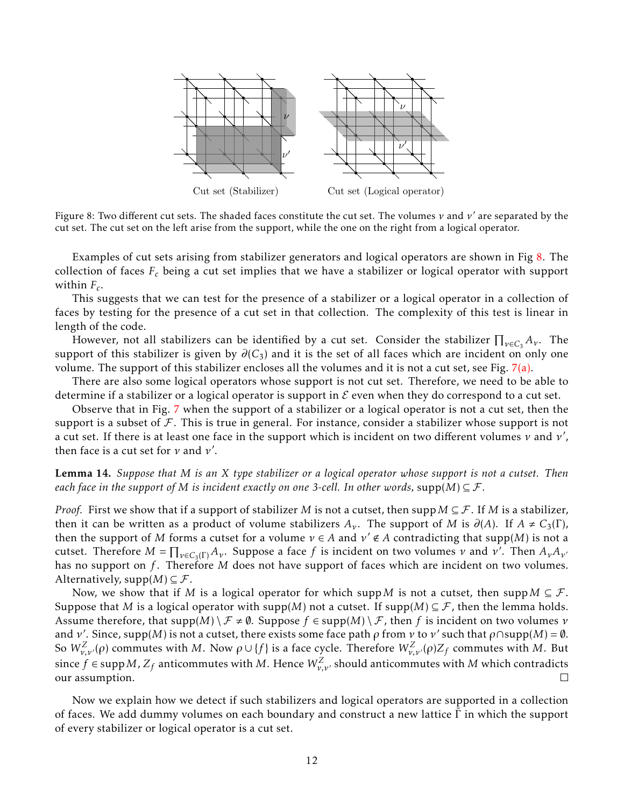

Figure 8: Two different cut sets. The shaded faces constitute the cut set. The volumes *ν* and *ν* ′ are separated by the cut set. The cut set on the left arise from the support, while the one on the right from a logical operator.

Examples of cut sets arising from stabilizer generators and logical operators are shown in Fig 8. The collection of faces *F<sup>c</sup>* being a cut set implies that we have a stabilizer or logical operator with support within *F<sup>c</sup>* .

This suggests that we can test for the presence of a stabilizer or a logical operator in a collection of faces by testing for the presence of a cut set in that collection. The complexity of this test is linear in length of the code.

However, not all stabilizers can be identified by a cut set. Consider the stabilizer  $\prod_{\nu \in C_3} A_{\nu}$ . The support of this stabilizer is given by  $\partial(C_3)$  and it is the set of all faces which are incident on only one volume. The support of this stabilizer encloses all the volumes and it is not a cut set, see Fig.  $7(a)$ .

There are also some logical operators whose support is not cut set. Therefore, we need to be able to determine if a stabilizer or a logical operator is support in  $\mathcal E$  even when they do correspond to a cut set.

Observe that in Fig. 7 when the support of a stabilizer or a logical operator is not a cut set, then the support is a subset of  $\mathcal F$ . This is true in general. For instance, consider a stabilizer whose support is not a cut set. If there is at least one face in the support which is incident on two different volumes *ν* and *ν* ′ , then face is a cut set for *ν* and *ν* ′ .

Lemma 14. *Suppose that M is an X type stabilizer or a logical operator whose support is not a cutset. Then each face in the support of M is incident exactly on one 3-cell. In other words, supp*(*M*)  $\subseteq$  *F*.

*Proof.* First we show that if a support of stabilizer *M* is not a cutset, then supp  $M \subseteq \mathcal{F}$ . If *M* is a stabilizer, then it can be written as a product of volume stabilizers  $A_\nu$ . The support of *M* is  $\partial(A)$ . If  $A \neq C_3(\Gamma)$ , then the support of *M* forms a cutset for a volume  $\nu \in A$  and  $\nu' \notin A$  contradicting that supp(*M*) is not a cutset. Therefore  $M = \prod_{\nu \in C_3(\Gamma)} A_{\nu}$ . Suppose a face *f* is incident on two volumes *ν* and *ν'*. Then  $A_{\nu}A_{\nu}$ has no support on *f*. Therefore *M* does not have support of faces which are incident on two volumes. Alternatively,  $supp(M) \subseteq \mathcal{F}$ .

Now, we show that if *M* is a logical operator for which supp *M* is not a cutset, then supp  $M \subseteq \mathcal{F}$ . Suppose that *M* is a logical operator with supp(*M*) not a cutset. If supp(*M*)  $\subseteq$  *F*, then the lemma holds. Assume therefore, that  $supp(M) \setminus \mathcal{F} \neq \emptyset$ . Suppose  $f \in supp(M) \setminus \mathcal{F}$ , then f is incident on two volumes *ν* and *ν'*. Since, supp(*M*) is not a cutset, there exists some face path  $\rho$  from *ν* to *ν'* such that  $\rho \cap \text{supp}(M) = \emptyset$ . So  $W_{\nu,\nu'}^Z(\rho)$  commutes with *M*. Now  $\rho \cup \{f\}$  is a face cycle. Therefore  $W_{\nu,\nu'}^Z(\rho)Z_f$  commutes with *M*. But since  $f \in \text{supp}\,M$  ,  $Z_f$  anticommutes with  $M$  . Hence  $W_{\nu,\nu'}^Z$  should anticommutes with  $M$  which contradicts our assumption.  $\Box$ 

Now we explain how we detect if such stabilizers and logical operators are supported in a collection of faces. We add dummy volumes on each boundary and construct a new lattice  $\Gamma$  in which the support of every stabilizer or logical operator is a cut set.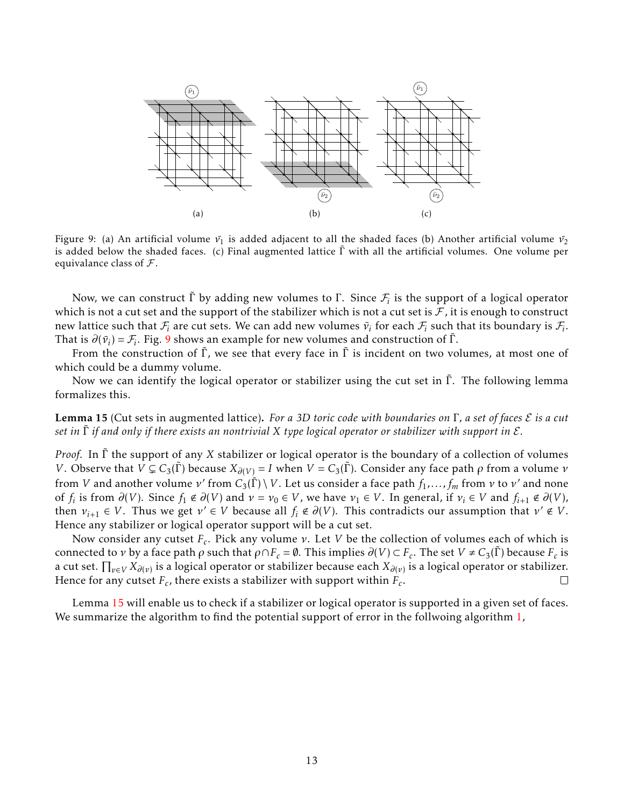

Figure 9: (a) An artificial volume  $ν_1$  is added adjacent to all the shaded faces (b) Another artificial volume  $ν_2$ is added below the shaded faces. (c) Final augmented lattice Γ˜ with all the artificial volumes. One volume per equivalance class of  $\mathcal{F}$ .

Now, we can construct  $\tilde{\Gamma}$  by adding new volumes to  $\Gamma.$  Since  $\mathcal{F}_i$  is the support of a logical operator which is not a cut set and the support of the stabilizer which is not a cut set is  $\mathcal F$ , it is enough to construct new lattice such that  $\mathcal{F}_i$  are cut sets. We can add new volumes  $\bar{\nu}_i$  for each  $\mathcal{F}_i$  such that its boundary is  $\mathcal{F}_i$ . That is  $\partial(\bar{v}_i) = \mathcal{F}_i$ . Fig. 9 shows an example for new volumes and construction of  $\tilde{\Gamma}$ .

From the construction of  $\tilde{\Gamma}$ , we see that every face in  $\tilde{\Gamma}$  is incident on two volumes, at most one of which could be a dummy volume.

Now we can identify the logical operator or stabilizer using the cut set in  $\tilde{\Gamma}$ . The following lemma formalizes this.

Lemma 15 (Cut sets in augmented lattice). *For a 3D toric code with boundaries on* Γ*, a set of faces* E *is a cut set in* Γ˜ *if and only if there exists an nontrivial X type logical operator or stabilizer with support in* E*.*

*Proof.* In Γ the support of any *X* stabilizer or logical operator is the boundary of a collection of volumes *V*. Observe that  $V \subsetneq C_3(\Gamma)$  because  $X_{\partial(V)} = I$  when  $V = C_3(\Gamma)$ . Consider any face path  $\rho$  from a volume  $\nu$ from *V* and another volume  $\nu'$  from  $C_3(\tilde{\Gamma}) \setminus V$ . Let us consider a face path  $f_1, \ldots, f_m$  from  $\nu$  to  $\nu'$  and none of  $f_i$  is from  $\partial(V)$ . Since  $f_1 \notin \partial(V)$  and  $v = v_0 \in V$ , we have  $v_1 \in V$ . In general, if  $v_i \in V$  and  $f_{i+1} \notin \partial(V)$ , then  $v_{i+1} \in V$ . Thus we get  $v' \in V$  because all  $f_i \notin \partial(V)$ . This contradicts our assumption that  $v' \notin V$ . Hence any stabilizer or logical operator support will be a cut set.

Now consider any cutset *F<sup>c</sup>* . Pick any volume *ν*. Let *V* be the collection of volumes each of which is connected to *ν* by a face path  $\rho$  such that  $\rho \cap F_c = \emptyset$ . This implies  $\partial(V) \subset F_c$ . The set  $V \neq C_3(\tilde{\Gamma})$  because  $F_c$  is a cut set. Q *<sup>v</sup>*∈*<sup>V</sup> X∂*(*v*) is a logical operator or stabilizer because each *X∂*(*v*) is a logical operator or stabilizer. Hence for any cutset  $F_c$ , there exists a stabilizer with support within  $F_c$ .  $\Box$ 

Lemma 15 will enable us to check if a stabilizer or logical operator is supported in a given set of faces. We summarize the algorithm to find the potential support of error in the follwoing algorithm 1,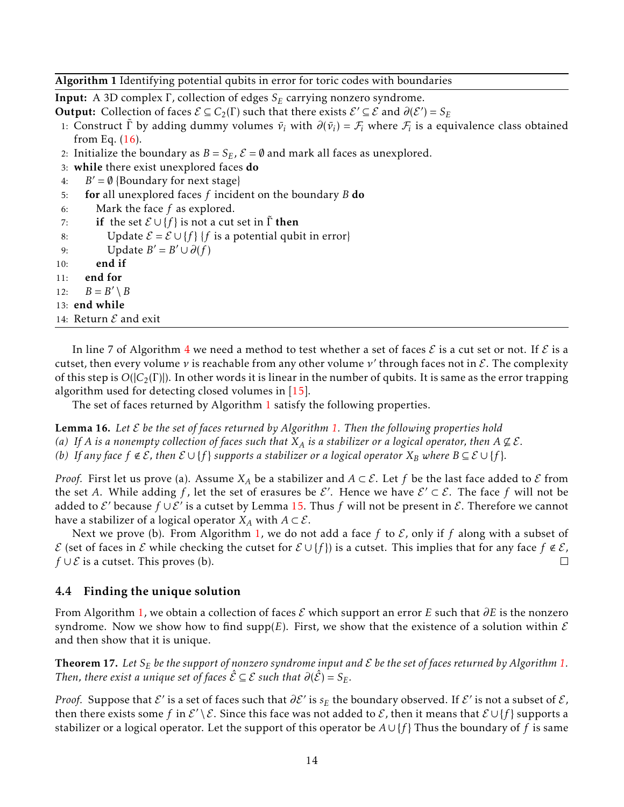### Algorithm 1 Identifying potential qubits in error for toric codes with boundaries

Input: A 3D complex Γ, collection of edges *S<sup>E</sup>* carrying nonzero syndrome.

**Output:** Collection of faces  $\mathcal{E} \subseteq C_2(\Gamma)$  such that there exists  $\mathcal{E}' \subseteq \mathcal{E}$  and  $\partial(\mathcal{E}') = S_E$ 

- 1: Construct  $\tilde{\Gamma}$  by adding dummy volumes  $\bar{v}_i$  with  $\partial(\bar{v}_i) = \mathcal{F}_i$  where  $\mathcal{F}_i$  is a equivalence class obtained from Eq.  $(16)$ .
- 2: Initialize the boundary as  $B = S_E$ ,  $\mathcal{E} = \emptyset$  and mark all faces as unexplored.
- 3: while there exist unexplored faces do
- 4:  $B' = \emptyset$  {Boundary for next stage}
- 5: for all unexplored faces *f* incident on the boundary *B* do
- 6: Mark the face *f* as explored.
- 7: **if** the set  $\mathcal{E} \cup \{f\}$  is not a cut set in  $\Gamma$  then

8: Update 
$$
\mathcal{E} = \mathcal{E} \cup \{f\}
$$
 {f is a potential qubit in error}

- 9: Update  $B' = B' \cup \partial(f)$
- 10: end if
- 11: end for

12:  $B = B' \setminus B$ 

- 13: end while
- 14: Return  $\mathcal E$  and exit

In line 7 of Algorithm 4 we need a method to test whether a set of faces  $\mathcal E$  is a cut set or not. If  $\mathcal E$  is a cutset, then every volume *ν* is reachable from any other volume *ν* ′ through faces not in E. The complexity of this step is *O*(|*C*2(Γ)|). In other words it is linear in the number of qubits. It is same as the error trapping algorithm used for detecting closed volumes in [15].

The set of faces returned by Algorithm 1 satisfy the following properties.

Lemma 16. *Let* E *be the set of faces returned by Algorithm 1. Then the following properties hold (a)* If A is a nonempty collection of faces such that  $X_A$  is a stabilizer or a logical operator, then  $A \not\subseteq \mathcal{E}$ . *(b)* If any face  $f \notin \mathcal{E}$ , then  $\mathcal{E} \cup \{f\}$  supports a stabilizer or a logical operator  $X_B$  where  $B ⊆ \mathcal{E} \cup \{f\}$ .

*Proof.* First let us prove (a). Assume  $X_A$  be a stabilizer and  $A \subset \mathcal{E}$ . Let f be the last face added to  $\mathcal E$  from the set A. While adding f, let the set of erasures be  $\mathcal{E}'$ . Hence we have  $\mathcal{E}' \subset \mathcal{E}$ . The face f will not be added to  $\mathcal{E}'$  because  $f \cup \mathcal{E}'$  is a cutset by Lemma 15. Thus  $f$  will not be present in  $\mathcal{E}$ . Therefore we cannot have a stabilizer of a logical operator  $X_A$  with  $A \subset \mathcal{E}$ .

Next we prove (b). From Algorithm 1, we do not add a face f to  $\mathcal E$ , only if f along with a subset of E (set of faces in E while checking the cutset for  $\mathcal{E} \cup \{f\}$ ) is a cutset. This implies that for any face  $f \notin \mathcal{E}$ , *f* ∪  $E$  is a cutset. This proves (b).  $\Box$ 

### 4.4 Finding the unique solution

From Algorithm 1, we obtain a collection of faces E which support an error *E* such that *∂E* is the nonzero syndrome. Now we show how to find supp( $E$ ). First, we show that the existence of a solution within  $E$ and then show that it is unique.

**Theorem 17.** Let  $S_E$  be the support of nonzero syndrome input and  $\mathcal E$  be the set of faces returned by Algorithm 1. *Then, there exist a unique set of faces*  $\hat{\mathcal{E}} \subseteq \mathcal{E}$  *such that*  $\partial(\hat{\mathcal{E}}) = S_E$ .

*Proof.* Suppose that  $\mathcal{E}'$  is a set of faces such that  $\partial \mathcal{E}'$  is  $s_E$  the boundary observed. If  $\mathcal{E}'$  is not a subset of  $\mathcal{E}$ , then there exists some f in  $\mathcal{E}'\setminus\mathcal{E}$ . Since this face was not added to  $\mathcal{E}$ , then it means that  $\mathcal{E}\cup\{f\}$  supports a stabilizer or a logical operator. Let the support of this operator be  $A \cup \{f\}$  Thus the boundary of *f* is same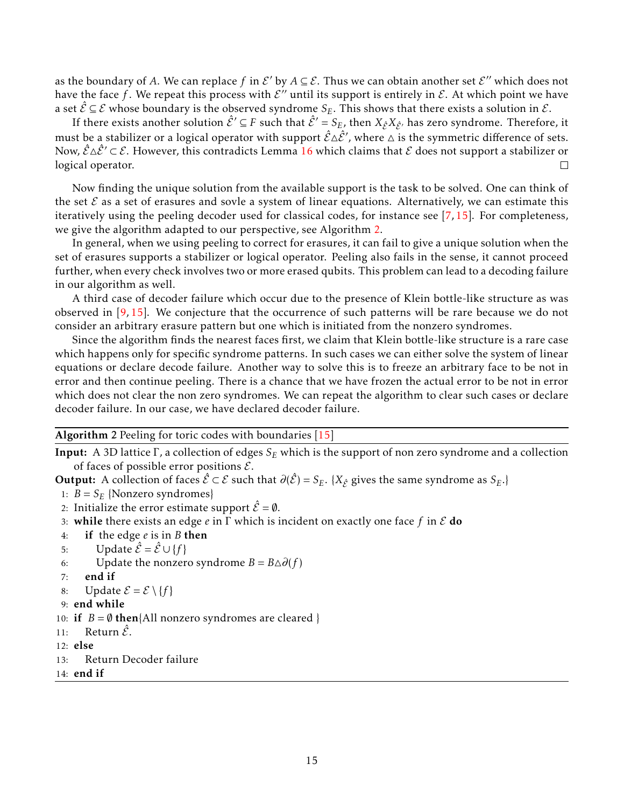as the boundary of A. We can replace f in  $\mathcal{E}'$  by  $A \subseteq \mathcal{E}$ . Thus we can obtain another set  $\mathcal{E}''$  which does not have the face f . We repeat this process with  $\mathcal{E}''$  until its support is entirely in  $\mathcal{E}$ . At which point we have a set  $\hat{\mathcal{E}} \subseteq \mathcal{E}$  whose boundary is the observed syndrome  $S_E$ . This shows that there exists a solution in  $\mathcal{E}$ .

If there exists another solution  $\hat{\mathcal{E}}' \subseteq F$  such that  $\hat{\mathcal{E}}' = S_E$ , then  $X_{\hat{\mathcal{E}}}X_{\hat{\mathcal{E}}'}$  has zero syndrome. Therefore, it must be a stabilizer or a logical operator with support  $\hat{\mathcal{E}}\Delta\hat{\mathcal{E}}'$ , where  $\Delta$  is the symmetric difference of sets. Now,  $\hat{\mathcal{E}} \Delta \hat{\mathcal{E}}' \subset \mathcal{E}$ . However, this contradicts Lemma 16 which claims that  $\mathcal E$  does not support a stabilizer or logical operator. П

Now finding the unique solution from the available support is the task to be solved. One can think of the set  $\mathcal E$  as a set of erasures and sovle a system of linear equations. Alternatively, we can estimate this iteratively using the peeling decoder used for classical codes, for instance see [7, 15]. For completeness, we give the algorithm adapted to our perspective, see Algorithm 2.

In general, when we using peeling to correct for erasures, it can fail to give a unique solution when the set of erasures supports a stabilizer or logical operator. Peeling also fails in the sense, it cannot proceed further, when every check involves two or more erased qubits. This problem can lead to a decoding failure in our algorithm as well.

A third case of decoder failure which occur due to the presence of Klein bottle-like structure as was observed in [9, 15]. We conjecture that the occurrence of such patterns will be rare because we do not consider an arbitrary erasure pattern but one which is initiated from the nonzero syndromes.

Since the algorithm finds the nearest faces first, we claim that Klein bottle-like structure is a rare case which happens only for specific syndrome patterns. In such cases we can either solve the system of linear equations or declare decode failure. Another way to solve this is to freeze an arbitrary face to be not in error and then continue peeling. There is a chance that we have frozen the actual error to be not in error which does not clear the non zero syndromes. We can repeat the algorithm to clear such cases or declare decoder failure. In our case, we have declared decoder failure.

#### Algorithm 2 Peeling for toric codes with boundaries [15]

Input: A 3D lattice Γ, a collection of edges *S<sup>E</sup>* which is the support of non zero syndrome and a collection of faces of possible error positions  $\mathcal{E}$ .

**Output:** A collection of faces  $\hat{\mathcal{E}} \subset \mathcal{E}$  such that  $\partial(\hat{\mathcal{E}}) = S_E$ . { $X_{\hat{\mathcal{E}}}$  gives the same syndrome as  $S_E$ .}

- 1:  $B = S_E$  {Nonzero syndromes}
- 2: Initialize the error estimate support  $\hat{\mathcal{E}} = \emptyset$ .
- 3: while there exists an edge *e* in Γ which is incident on exactly one face *f* in E do
- 4: if the edge *e* is in *B* then
- 5: Update  $\hat{\mathcal{E}} = \hat{\mathcal{E}} \cup \{f\}$
- 6: Update the nonzero syndrome  $B = B \triangle \partial(f)$
- 7: end if
- 8: Update  $\mathcal{E} = \mathcal{E} \setminus \{f\}$
- 9: end while

10: if  $B = \emptyset$  then{All nonzero syndromes are cleared }

- 11: Return  $\tilde{\mathcal{E}}$ .
- 12: else
- 13: Return Decoder failure
- 14: end if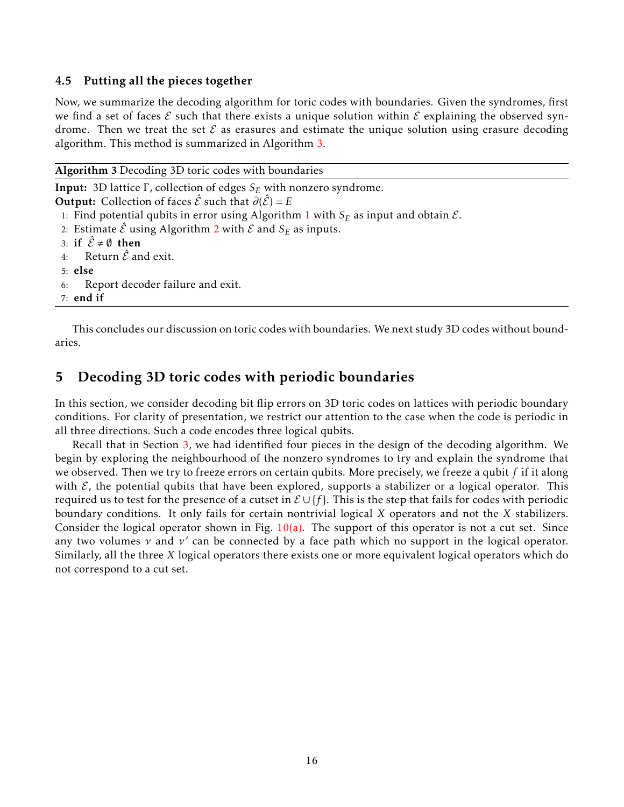## 4.5 Putting all the pieces together

Now, we summarize the decoding algorithm for toric codes with boundaries. Given the syndromes, first we find a set of faces  $\mathcal E$  such that there exists a unique solution within  $\mathcal E$  explaining the observed syndrome. Then we treat the set  $\mathcal E$  as erasures and estimate the unique solution using erasure decoding algorithm. This method is summarized in Algorithm 3.

|  | Algorithm 3 Decoding 3D toric codes with boundaries |  |  |  |  |
|--|-----------------------------------------------------|--|--|--|--|
|--|-----------------------------------------------------|--|--|--|--|

```
Input: 3D lattice Γ, collection of edges SE with nonzero syndrome.
Output: Collection of faces \hat{\mathcal{E}} such that \partial(\hat{\mathcal{E}}) = E1: Find potential qubits in error using Algorithm 1 with S_E as input and obtain \mathcal{E}.
 2: Estimate \hat{\mathcal{E}} using Algorithm 2 with \mathcal{E} and \mathcal{S}_E as inputs.
 3: if \hat{\mathcal{E}} \neq \emptyset then
 4: Return \hat{\mathcal{E}} and exit.
 5: else
 6: Report decoder failure and exit.
 7: end if
```
This concludes our discussion on toric codes with boundaries. We next study 3D codes without boundaries.

# 5 Decoding 3D toric codes with periodic boundaries

In this section, we consider decoding bit flip errors on 3D toric codes on lattices with periodic boundary conditions. For clarity of presentation, we restrict our attention to the case when the code is periodic in all three directions. Such a code encodes three logical qubits.

Recall that in Section 3, we had identified four pieces in the design of the decoding algorithm. We begin by exploring the neighbourhood of the nonzero syndromes to try and explain the syndrome that we observed. Then we try to freeze errors on certain qubits. More precisely, we freeze a qubit *f* if it along with  $\mathcal{E}$ , the potential qubits that have been explored, supports a stabilizer or a logical operator. This required us to test for the presence of a cutset in E ∪ {*f* }. This is the step that fails for codes with periodic boundary conditions. It only fails for certain nontrivial logical *X* operators and not the *X* stabilizers. Consider the logical operator shown in Fig.  $10(a)$ . The support of this operator is not a cut set. Since any two volumes *ν* and *ν* ′ can be connected by a face path which no support in the logical operator. Similarly, all the three *X* logical operators there exists one or more equivalent logical operators which do not correspond to a cut set.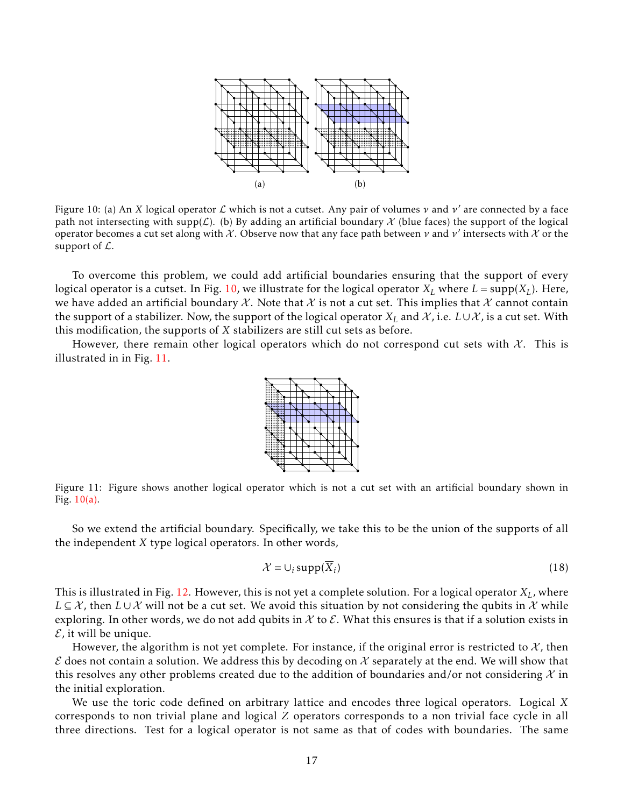

Figure 10: (a) An *X* logical operator L which is not a cutset. Any pair of volumes *ν* and *ν* ′ are connected by a face path not intersecting with supp( $\mathcal L$ ). (b) By adding an artificial boundary  $\mathcal X$  (blue faces) the support of the logical operator becomes a cut set along with X. Observe now that any face path between *ν* and *ν* ′ intersects with X or the support of  $\mathcal{L}$ .

To overcome this problem, we could add artificial boundaries ensuring that the support of every logical operator is a cutset. In Fig. 10, we illustrate for the logical operator  $X_L$  where  $L = \text{supp}(X_L)$ . Here, we have added an artificial boundary X. Note that X is not a cut set. This implies that X cannot contain the support of a stabilizer. Now, the support of the logical operator  $X_L$  and  $\mathcal X$ , i.e.  $L\cup\mathcal X$ , is a cut set. With this modification, the supports of *X* stabilizers are still cut sets as before.

However, there remain other logical operators which do not correspond cut sets with  $\mathcal{X}$ . This is illustrated in in Fig. 11.



Figure 11: Figure shows another logical operator which is not a cut set with an artificial boundary shown in Fig.  $10(a)$ .

So we extend the artificial boundary. Specifically, we take this to be the union of the supports of all the independent *X* type logical operators. In other words,

$$
\mathcal{X} = \cup_i \operatorname{supp}(\overline{X}_i) \tag{18}
$$

This is illustrated in Fig. 12. However, this is not yet a complete solution. For a logical operator *XL*, where *L* ⊆  $X$ , then *L* ∪  $X$  will not be a cut set. We avoid this situation by not considering the qubits in  $X$  while exploring. In other words, we do not add qubits in  $\mathcal X$  to  $\mathcal E$ . What this ensures is that if a solution exists in  $\mathcal E$ , it will be unique.

However, the algorithm is not yet complete. For instance, if the original error is restricted to  $\mathcal{X}$ , then  $\mathcal E$  does not contain a solution. We address this by decoding on  $\mathcal X$  separately at the end. We will show that this resolves any other problems created due to the addition of boundaries and/or not considering  $\mathcal X$  in the initial exploration.

We use the toric code defined on arbitrary lattice and encodes three logical operators. Logical *X* corresponds to non trivial plane and logical *Z* operators corresponds to a non trivial face cycle in all three directions. Test for a logical operator is not same as that of codes with boundaries. The same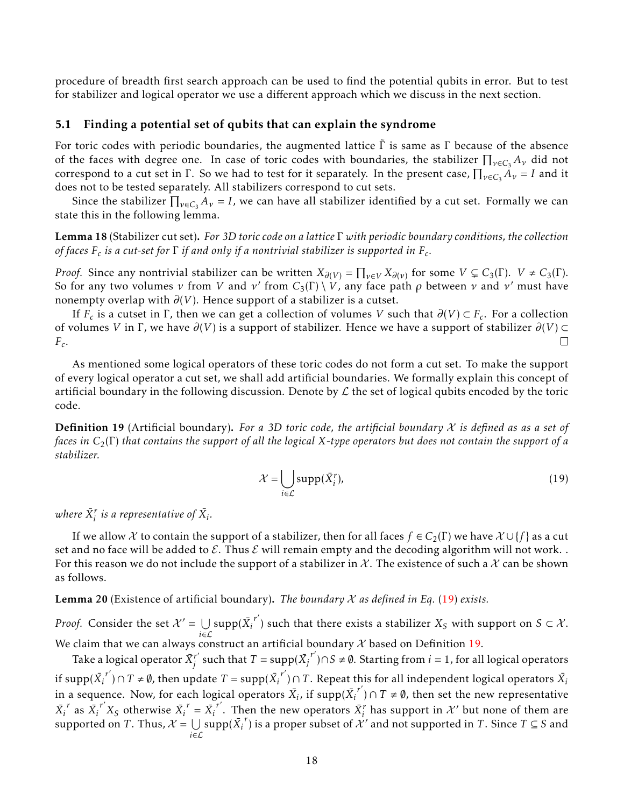procedure of breadth first search approach can be used to find the potential qubits in error. But to test for stabilizer and logical operator we use a different approach which we discuss in the next section.

### 5.1 Finding a potential set of qubits that can explain the syndrome

For toric codes with periodic boundaries, the augmented lattice  $\Gamma$  is same as  $\Gamma$  because of the absence of the faces with degree one. In case of toric codes with boundaries, the stabilizer  $\prod_{v\in C_3} A_v$  did not correspond to a cut set in  $\Gamma$ . So we had to test for it separately. In the present case,  $\prod_{v \in C_3} A_v = I$  and it does not to be tested separately. All stabilizers correspond to cut sets.

Since the stabilizer  $\prod_{\nu\in C_3}A_{\nu}=I$ , we can have all stabilizer identified by a cut set. Formally we can state this in the following lemma.

## Lemma 18 (Stabilizer cut set). *For 3D toric code on a lattice* Γ *with periodic boundary conditions, the collection*  $\delta$  *of faces F<sub>c</sub> is a cut-set for*  $\Gamma$  *if and only if a nontrivial stabilizer is supported in F<sub>c</sub>.*

*Proof.* Since any nontrivial stabilizer can be written  $X_{\partial(V)} = \prod_{v \in V} X_{\partial(v)}$  for some  $V \subsetneq C_3(\Gamma)$ .  $V \neq C_3(\Gamma)$ . So for any two volumes  $\nu$  from  $V$  and  $\nu'$  from  $C_3(\Gamma) \setminus V$ , any face path  $\rho$  between  $\nu$  and  $\nu'$  must have nonempty overlap with  $\partial(V)$ . Hence support of a stabilizer is a cutset.

If  $F_c$  is a cutset in  $\Gamma$ , then we can get a collection of volumes *V* such that  $\partial(V) \subset F_c$ . For a collection of volumes *V* in Γ, we have *∂*(*V*) is a support of stabilizer. Hence we have a support of stabilizer *∂*(*V*) ⊂ *Fc* .  $\Box$ 

As mentioned some logical operators of these toric codes do not form a cut set. To make the support of every logical operator a cut set, we shall add artificial boundaries. We formally explain this concept of artificial boundary in the following discussion. Denote by  $L$  the set of logical qubits encoded by the toric code.

Definition 19 (Artificial boundary). *For a 3D toric code, the artificial boundary* X *is defined as as a set of faces in C*2(Γ) *that contains the support of all the logical X-type operators but does not contain the support of a stabilizer.*

$$
\mathcal{X} = \bigcup_{i \in \mathcal{L}} \text{supp}(\bar{X}_i^r),\tag{19}
$$

where  $\bar{X}^r_i$  is a representative of  $\bar{X}_i$ .

If we allow X to contain the support of a stabilizer, then for all faces  $f \in C_2(\Gamma)$  we have  $\mathcal{X} \cup \{f\}$  as a cut set and no face will be added to  $\mathcal{E}$ . Thus  $\mathcal{E}$  will remain empty and the decoding algorithm will not work. For this reason we do not include the support of a stabilizer in X. The existence of such a X can be shown as follows.

Lemma 20 (Existence of artificial boundary). *The boundary* X *as defined in Eq.* (19) *exists.*

*Proof.* Consider the set  $\mathcal{X}' = \bigcup \mathrm{supp}(\bar{X_i}^{r'})$  such that there exists a stabilizer  $X_S$  with support on  $S \subset \mathcal{X}$ . *i*∈L We claim that we can always construct an artificial boundary X based on Definition 19.

Take a logical operator  $\bar{X}^{r'}_i$ *f'* such that *T* = supp( $\bar{X_j}^{r'}$ )∩*S* ≠ Ø. Starting from *i* = 1, for all logical operators if  ${\rm supp}({\bar{X_i}^{r'}}) \cap T \neq \emptyset$ , then update  $T={\rm supp}({\bar{X_i}^{r'}}) \cap T.$  Repeat this for all independent logical operators  $\bar{X_i}$ in a sequence. Now, for each logical operators  $\overline{X}_i$ , if supp( $\overline{X_i}^{r'}$ ) ∩  $T \neq \emptyset$ , then set the new representative  $\overline{X}_i^r$  as  $\overline{X}_i^{r'} X_S$  otherwise  $\overline{X}_i^r = \overline{X}_i^{r'}$ . Then the new operators  $\overline{X}_i^r$  has support in  $\mathcal{X}'$  but none of them are supported on  $T.$  Thus,  $\mathcal{X} = \bigcup$ *i*∈L  $\sup p(\bar{X_i}^r)$  is a proper subset of  $\mathcal{X}'$  and not supported in *T*. Since *T* ⊆ *S* and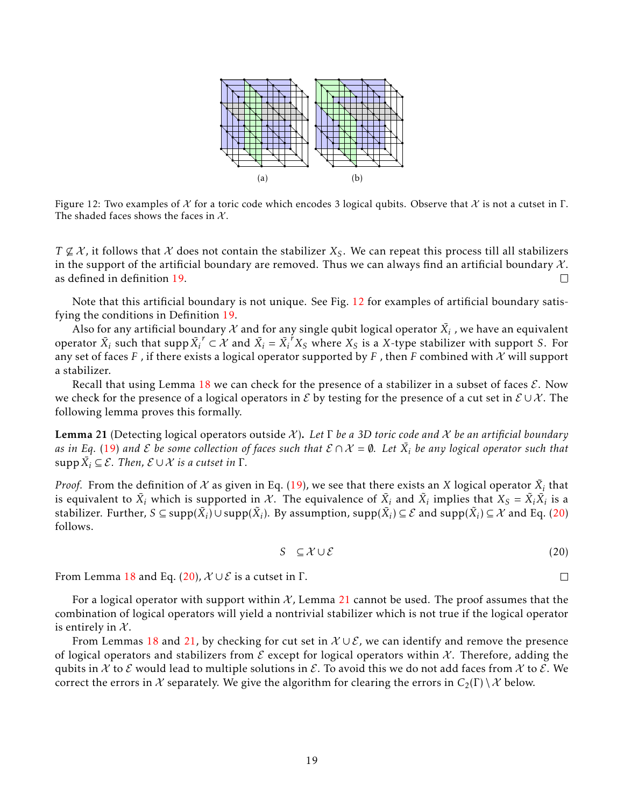

Figure 12: Two examples of X for a toric code which encodes 3 logical qubits. Observe that X is not a cutset in  $\Gamma$ . The shaded faces shows the faces in  $X$ .

 $T \nsubseteq \mathcal{X}$ , it follows that  $\mathcal X$  does not contain the stabilizer  $X_S$ . We can repeat this process till all stabilizers in the support of the artificial boundary are removed. Thus we can always find an artificial boundary  $\mathcal{X}$ . as defined in definition 19.  $\Box$ 

Note that this artificial boundary is not unique. See Fig. 12 for examples of artificial boundary satisfying the conditions in Definition 19.

Also for any artificial boundary  $\mathcal X$  and for any single qubit logical operator  $\bar{X_i}$  , we have an equivalent operator  $\bar{X}_i$  such that supp  $\bar{X}_i^r \subset \mathcal{X}$  and  $\bar{X}_i = \bar{X}_i^r X_S$  where  $X_S$  is a X-type stabilizer with support *S*. For any set of faces *F*, if there exists a logical operator supported by *F*, then *F* combined with  $\chi$  will support a stabilizer.

Recall that using Lemma 18 we can check for the presence of a stabilizer in a subset of faces  $\mathcal{E}$ . Now we check for the presence of a logical operators in E by testing for the presence of a cut set in  $E \cup \mathcal{X}$ . The following lemma proves this formally.

Lemma 21 (Detecting logical operators outside X). *Let* Γ *be a 3D toric code and* X *be an artificial boundary* as in Eq. (19) and  ${\cal E}$  be some collection of faces such that  ${\cal E} \cap {\cal X}=\emptyset$ . Let  $\bar{X_i}$  be any logical operator such that  $\sup$ p $\bar{X}_i \subseteq \mathcal{E}$ *. Then,*  $\mathcal{E} \cup \mathcal{X}$  *is a cutset in*  $\Gamma$ *.* 

*Proof.* From the definition of  $\mathcal X$  as given in Eq. (19), we see that there exists an  $X$  logical operator  $\tilde X_i$  that is equivalent to  $\bar{X}_i$  which is supported in  $\mathcal{X}$ . The equivalence of  $\bar{X}_i$  and  $\tilde{X}_i$  implies that  $X_S=\tilde{X}_i\bar{X}_i$  is a  $s$ tabilizer. Further,  $S \subseteq \text{supp}(\bar{X}_i) \cup \text{supp}(\tilde{X}_i)$ . By assumption,  $\text{supp}(\bar{X}_i) \subseteq \mathcal{E}$  and  $\text{supp}(\tilde{X}_i) \subseteq \mathcal{X}$  and Eq. (20) follows.

$$
S \subseteq \mathcal{X} \cup \mathcal{E} \tag{20}
$$

From Lemma 18 and Eq. (20),  $\mathcal{X} \cup \mathcal{E}$  is a cutset in  $\Gamma$ .

For a logical operator with support within  $\mathcal X$ , Lemma 21 cannot be used. The proof assumes that the combination of logical operators will yield a nontrivial stabilizer which is not true if the logical operator is entirely in  $X$ .

From Lemmas 18 and 21, by checking for cut set in  $\mathcal{X} \cup \mathcal{E}$ , we can identify and remove the presence of logical operators and stabilizers from  $\mathcal E$  except for logical operators within  $\mathcal X$ . Therefore, adding the qubits in X to E would lead to multiple solutions in E. To avoid this we do not add faces from X to E. We correct the errors in X separately. We give the algorithm for clearing the errors in  $C_2(\Gamma) \setminus \mathcal{X}$  below.

 $\Box$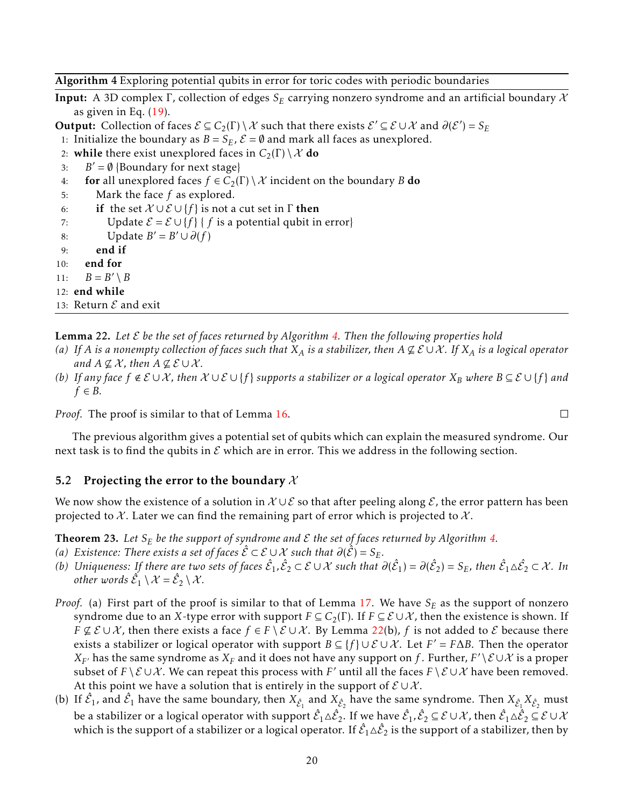Algorithm 4 Exploring potential qubits in error for toric codes with periodic boundaries

Input: A 3D complex Γ, collection of edges *S<sup>E</sup>* carrying nonzero syndrome and an artificial boundary X as given in Eq.  $(19)$ .

**Output:** Collection of faces  $\mathcal{E} \subseteq C_2(\Gamma) \setminus \mathcal{X}$  such that there exists  $\mathcal{E}' \subseteq \mathcal{E} \cup \mathcal{X}$  and  $\partial(\mathcal{E}') = S_E$ 

1: Initialize the boundary as  $B = S_E$ ,  $\mathcal{E} = \emptyset$  and mark all faces as unexplored.

- 2: **while** there exist unexplored faces in  $C_2(\Gamma) \setminus \mathcal{X}$  do
- 3:  $B' = \emptyset$  {Boundary for next stage}
- 4: **for** all unexplored faces  $f \in C_2(\Gamma) \setminus \mathcal{X}$  incident on the boundary *B* do
- 5: Mark the face *f* as explored.

6: if the set  $\mathcal{X} \cup \mathcal{E} \cup \{f\}$  is not a cut set in  $\Gamma$  then

```
7: Update \mathcal{E} = \mathcal{E} \cup \{f\} { f is a potential qubit in error}
```
8: Update  $B' = B' \cup \partial(f)$ 

9: end if

10: end for

11:  $B = B' \setminus B$ 

12: end while

13: Return 
$$
\mathcal{E}
$$
 and exit

Lemma 22. *Let* E *be the set of faces returned by Algorithm 4. Then the following properties hold*

- *(a)* If *A is a nonempty collection of faces such that*  $X_A$  *is a stabilizer, then*  $A \not\subseteq E \cup X$ *. If*  $X_A$  *is a logical operator and*  $A \nsubseteq \mathcal{X}$ *, then*  $A \nsubseteq \mathcal{E} \cup \mathcal{X}$ *.*
- *(b)* If any face  $f \notin E \cup X$ , then  $X \cup E \cup \{f\}$  supports a stabilizer or a logical operator  $X_B$  where  $B ⊆ E \cup \{f\}$  and  $f \in B$ *.*

*Proof.* The proof is similar to that of Lemma 16.

The previous algorithm gives a potential set of qubits which can explain the measured syndrome. Our next task is to find the qubits in  $\mathcal E$  which are in error. This we address in the following section.

### 5.2 Projecting the error to the boundary  $\mathcal X$

We now show the existence of a solution in  $\mathcal{X} \cup \mathcal{E}$  so that after peeling along  $\mathcal{E}$ , the error pattern has been projected to X. Later we can find the remaining part of error which is projected to X.

**Theorem 23.** Let  $S_E$  be the support of syndrome and  $\mathcal E$  the set of faces returned by Algorithm 4.

- *(a)* Existence: There exists a set of faces  $\hat{\mathcal{E}}$  ⊂  $\mathcal{E} \cup \mathcal{X}$  such that  $\partial(\hat{\mathcal{E}}) = S_E$ .
- *(b)* Uniqueness: If there are two sets of faces  $\hat{\mathcal{E}}_1, \hat{\mathcal{E}}_2 \subset \mathcal{E} \cup \mathcal{X}$  such that  $\partial(\hat{\mathcal{E}}_1) = \partial(\hat{\mathcal{E}}_2) = S_E$ , then  $\hat{\mathcal{E}}_1 \Delta \hat{\mathcal{E}}_2 \subset \mathcal{X}$ . In *other words*  $\hat{\mathcal{E}}_1 \setminus \mathcal{X} = \hat{\mathcal{E}}_2 \setminus \mathcal{X}$ .
- *Proof.* (a) First part of the proof is similar to that of Lemma 17. We have  $S_E$  as the support of nonzero syndrome due to an *X*-type error with support  $F \subseteq C_2(\Gamma)$ . If  $F \subseteq \mathcal{E} \cup \mathcal{X}$ , then the existence is shown. If *F* ⊈  $E$  ∪  $X$ , then there exists a face  $f \in F \setminus E \cup X$ . By Lemma 22(b),  $f$  is not added to  $E$  because there exists a stabilizer or logical operator with support  $B \subseteq \{f\} \cup \mathcal{E} \cup \mathcal{X}$ . Let  $F' = F \Delta B$ . Then the operator  $X_{F'}$  has the same syndrome as  $X_F$  and it does not have any support on  $f$  . Further,  $F'\setminus\mathcal{E}\cup\mathcal{X}$  is a proper subset of  $F \setminus E \cup X$ . We can repeat this process with  $F'$  until all the faces  $F \setminus E \cup X$  have been removed. At this point we have a solution that is entirely in the support of  $\mathcal{E} \cup \mathcal{X}$ .
- (b) If  $\hat{z}_1$ , and  $\hat{z}_1$  have the same boundary, then  $X_{\hat{\mathcal{E}}_1}$  and  $X_{\hat{\mathcal{E}}_2}$  have the same syndrome. Then  $X_{\hat{\mathcal{E}}_1}X_{\hat{\mathcal{E}}_2}$  must be a stabilizer or a logical operator with support  $\hat{\mathcal{E}}_1\triangle\hat{\mathcal{E}}_2.$  If we have  $\hat{\mathcal{E}}_1$ ,  $\hat{\mathcal{E}}_2\subseteq\mathcal{E}\cup\mathcal{X}$ , then  $\hat{\mathcal{E}}_1\triangle\hat{\mathcal{E}}_2\subseteq\mathcal{E}\cup\mathcal{X}$ which is the support of a stabilizer or a logical operator. If  $\hat{\mathcal{E}}_1 \Delta \hat{\mathcal{E}}_2$  is the support of a stabilizer, then by

 $\Box$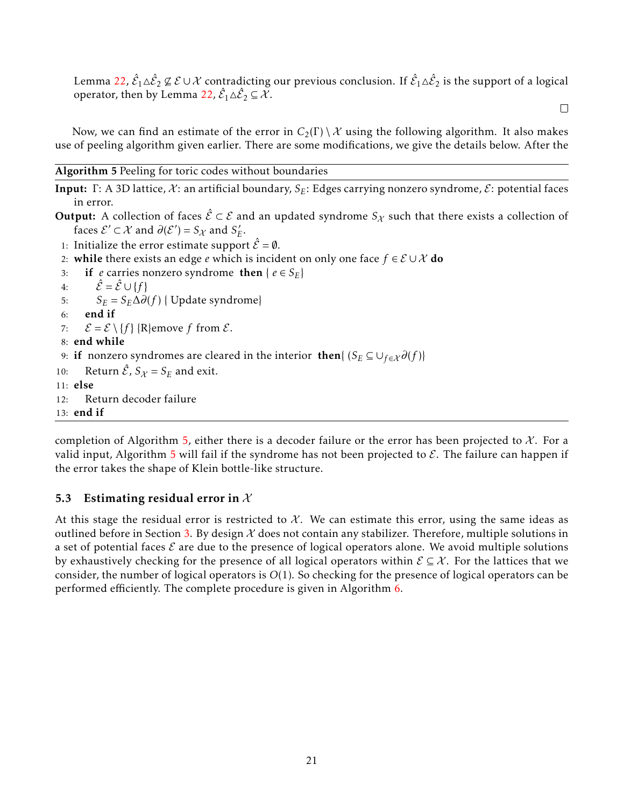Lemma 22,  $\hat{\mathcal{E}}_1\triangle\hat{\mathcal{E}}_2\not\subseteq\mathcal{E}\cup\mathcal{X}$  contradicting our previous conclusion. If  $\hat{\mathcal{E}}_1\triangle\hat{\mathcal{E}}_2$  is the support of a logical operator, then by Lemma 22,  $\hat{\mathcal{E}}_1 \triangle \hat{\mathcal{E}}_2 \subseteq \mathcal{X}$ .

 $\Box$ 

Now, we can find an estimate of the error in  $C_2(\Gamma) \setminus \mathcal{X}$  using the following algorithm. It also makes use of peeling algorithm given earlier. There are some modifications, we give the details below. After the

Algorithm 5 Peeling for toric codes without boundaries

Input: Γ: A 3D lattice, X: an artificial boundary, S<sub>E</sub>: Edges carrying nonzero syndrome, *E*: potential faces in error.

**Output:** A collection of faces  $\hat{\mathcal{E}} \subset \mathcal{E}$  and an updated syndrome  $S_{\mathcal{X}}$  such that there exists a collection of faces  $\mathcal{E}' \subset \mathcal{X}$  and  $\partial(\mathcal{E}') = S_{\mathcal{X}}$  and  $S'_{\mathcal{Y}}$ *E* .

- 1: Initialize the error estimate support  $\hat{\mathcal{E}} = \emptyset$ .
- 2: while there exists an edge *e* which is incident on only one face  $f \in \mathcal{E} \cup \mathcal{X}$  do
- 3: if *e* carries nonzero syndrome then  $\{e \in S_E\}$

4:  $\hat{\mathcal{E}} = \hat{\mathcal{E}} \cup \{f\}$ 

5:  $S_E = S_E \Delta \partial(f)$  { Update syndrome}

```
6: end if
```
7:  $\mathcal{E} = \mathcal{E} \setminus \{f\}$  {R}emove *f* from  $\mathcal{E}$ .

8: end while

9: if nonzero syndromes are cleared in the interior then{  $(S_E \subseteq \cup_{f \in \mathcal{X}} \partial(f))$ 

10: Return  $\hat{\mathcal{E}}$ ,  $S_{\chi} = S_E$  and exit.

11: else

```
12: Return decoder failure
```
13: end if

completion of Algorithm 5, either there is a decoder failure or the error has been projected to  $\mathcal{X}$ . For a valid input, Algorithm 5 will fail if the syndrome has not been projected to  $\mathcal{E}$ . The failure can happen if the error takes the shape of Klein bottle-like structure.

## 5.3 Estimating residual error in  $X$

At this stage the residual error is restricted to  $\mathcal{X}$ . We can estimate this error, using the same ideas as outlined before in Section 3. By design  $\mathcal X$  does not contain any stabilizer. Therefore, multiple solutions in a set of potential faces  $\mathcal E$  are due to the presence of logical operators alone. We avoid multiple solutions by exhaustively checking for the presence of all logical operators within  $\mathcal{E} \subseteq \mathcal{X}$ . For the lattices that we consider, the number of logical operators is *O*(1). So checking for the presence of logical operators can be performed efficiently. The complete procedure is given in Algorithm 6.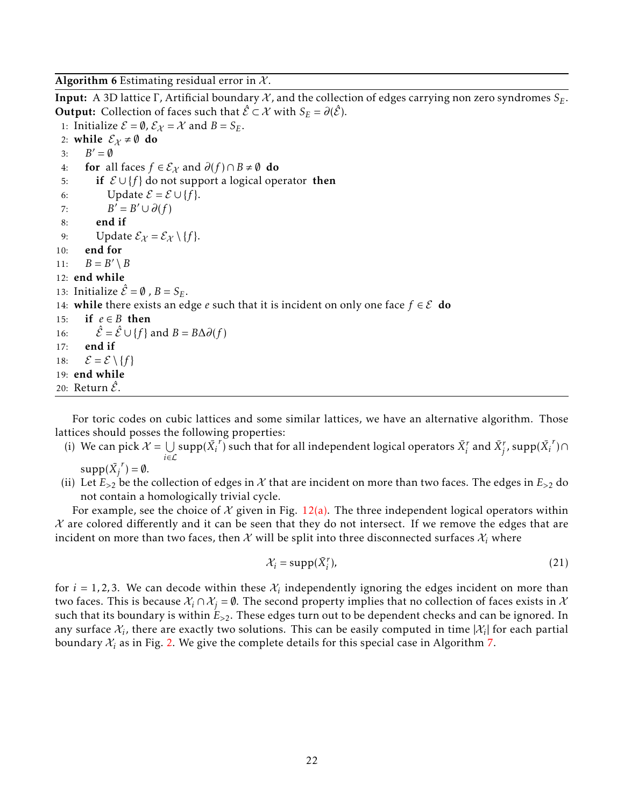Algorithm 6 Estimating residual error in  $\mathcal{X}$ .

Input: A 3D lattice Γ, Artificial boundary X, and the collection of edges carrying non zero syndromes *SE*. **Output:** Collection of faces such that  $\hat{\mathcal{E}} \subset \mathcal{X}$  with  $S_E = \partial(\hat{\mathcal{E}})$ . 1: Initialize  $\mathcal{E} = \emptyset$ ,  $\mathcal{E}_{\chi} = \mathcal{X}$  and  $B = S_E$ . 2: while  $\mathcal{E}_{\chi} \neq \emptyset$  do 3:  $B' = \emptyset$ 4: **for** all faces  $f \in \mathcal{E}_{\mathcal{X}}$  and  $\partial(f) \cap B \neq \emptyset$  **do** 5: if  $\mathcal{E} \cup \{f\}$  do not support a logical operator then 6: Update  $\mathcal{E} = \mathcal{E} \cup \{f\}.$ 7: *B*  $' = B' \cup ∂(f)$ 8: end if 9: Update  $\mathcal{E}_{\chi} = \mathcal{E}_{\chi} \setminus \{f\}.$ 10: end for 11:  $B = B' \setminus B$ 12: end while 13: Initialize  $\hat{\mathcal{E}} = \emptyset$ ,  $B = S_E$ . 14: **while** there exists an edge *e* such that it is incident on only one face  $f \in \mathcal{E}$  do 15: if  $e \in B$  then 16:  $\hat{\mathcal{E}} = \hat{\mathcal{E}} \cup \{f\}$  and  $B = B\Delta\partial(f)$ 17: end if 18:  $\mathcal{E} = \mathcal{E} \setminus \{f\}$ 19: end while 20: Return  $\hat{\mathcal{E}}$ .

For toric codes on cubic lattices and some similar lattices, we have an alternative algorithm. Those lattices should posses the following properties:

- (i) We can pick  $\mathcal{X} = \bigcup_{i=1}^n \text{supp}(\bar{X_i}^r)$  such that for all independent logical operators  $\bar{X_i}^r$  and  $\bar{X_j}^r$ , supp $(\bar{X_i}^r) \cap$ *i*∈L  $supp(\bar{X_j}^r) = \emptyset.$
- (ii) Let  $E_{>2}$  be the collection of edges in X that are incident on more than two faces. The edges in  $E_{>2}$  do not contain a homologically trivial cycle.

For example, see the choice of X given in Fig. 12(a). The three independent logical operators within  $\chi$  are colored differently and it can be seen that they do not intersect. If we remove the edges that are incident on more than two faces, then  $\mathcal X$  will be split into three disconnected surfaces  $\mathcal X_i$  where

$$
\mathcal{X}_i = \text{supp}(\bar{X}_i^r),\tag{21}
$$

for  $i = 1, 2, 3$ . We can decode within these  $\mathcal{X}_i$  independently ignoring the edges incident on more than two faces. This is because  $\mathcal{X}_i \cap \mathcal{X}_j = \emptyset$ . The second property implies that no collection of faces exists in  $\mathcal{X}$ such that its boundary is within *E>*2. These edges turn out to be dependent checks and can be ignored. In any surface  $\mathcal{X}_i$ , there are exactly two solutions. This can be easily computed in time  $|\mathcal{X}_i|$  for each partial boundary  $\mathcal{X}_i$  as in Fig. 2. We give the complete details for this special case in Algorithm 7.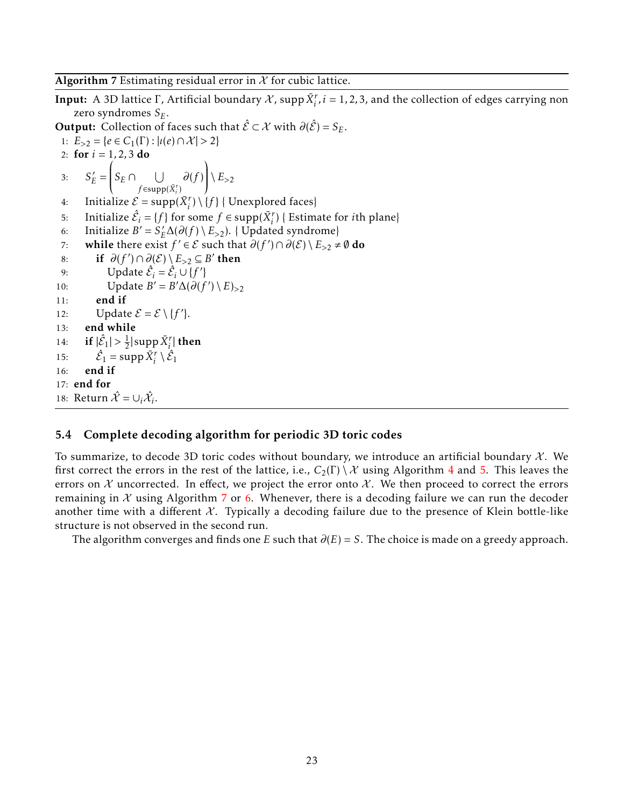**Input:** A 3D lattice  $\Gamma$ , Artificial boundary  $\mathcal{X}$ , supp $\bar{X}^r_i$ ,  $i = 1, 2, 3$ , and the collection of edges carrying non zero syndromes *SE*.

**Output:** Collection of faces such that  $\hat{\mathcal{E}} \subset \mathcal{X}$  with  $\partial(\hat{\mathcal{E}}) = S_E$ . 1:  $E_{>2} = \{e \in C_1(\Gamma) : |i(e) \cap \mathcal{X}| > 2\}$ 2: for  $i = 1, 2, 3$  do 3:  $S'_E =$ ſ  $\overline{\mathcal{C}}$  $S_E \cap \bigcup$  $f \in \text{supp}(\bar{X}_i^r)$ *∂*(*f* )  $\lambda$  $\begin{array}{c} \end{array}$  $\backslash E_{>2}$ 4: Initialize  $\mathcal{E} = \text{supp}(\bar{X}_i^r) \setminus \{f\}$  { Unexplored faces} 5: Initialize  $\hat{\mathcal{E}}_i = \{f\}$  for some  $f \in \text{supp}(\bar{X}_i^r)$  { Estimate for *i*th plane} 6: Initialize  $B' = S'_E \Delta(\partial(f) \setminus E_{>2})$ . { Updated syndrome} 7: while there exist  $f' \in \mathcal{E}$  such that  $\partial(f') \cap \partial(\mathcal{E}) \setminus E_{>2} \neq \emptyset$  do 8: if  $\partial(f') \cap \partial(E) \setminus E_{>2} \subseteq B'$  then 9: Update  $\hat{\mathcal{E}}_i = \hat{\mathcal{E}}_i \cup \{f'\}$ 10: Update  $B' = B' \Delta(\partial(f') \setminus E)_{>2}$ 11: end if 12: Update  $\mathcal{E} = \mathcal{E} \setminus \{f'\}.$ 13: end while 14: **if**  $|\hat{\mathcal{E}}_1| > \frac{1}{2}$  $\frac{1}{2}|\mathrm{supp}\,\bar{X}^r_i|$  then 15:  $\hat{\mathcal{E}}_1 = \text{supp }\bar{X}_i^r \setminus \hat{\mathcal{E}}_1$ 16: end if 17: end for 18: Return  $\hat{\mathcal{X}} = \cup_i \hat{\mathcal{X}}_i$ .

## 5.4 Complete decoding algorithm for periodic 3D toric codes

To summarize, to decode 3D toric codes without boundary, we introduce an artificial boundary  $\mathcal{X}$ . We first correct the errors in the rest of the lattice, i.e.,  $C_2(\Gamma) \setminus \mathcal{X}$  using Algorithm 4 and 5. This leaves the errors on  $X$  uncorrected. In effect, we project the error onto  $X$ . We then proceed to correct the errors remaining in  $X$  using Algorithm 7 or 6. Whenever, there is a decoding failure we can run the decoder another time with a different  $\mathcal{X}$ . Typically a decoding failure due to the presence of Klein bottle-like structure is not observed in the second run.

The algorithm converges and finds one *E* such that  $\partial(E) = S$ . The choice is made on a greedy approach.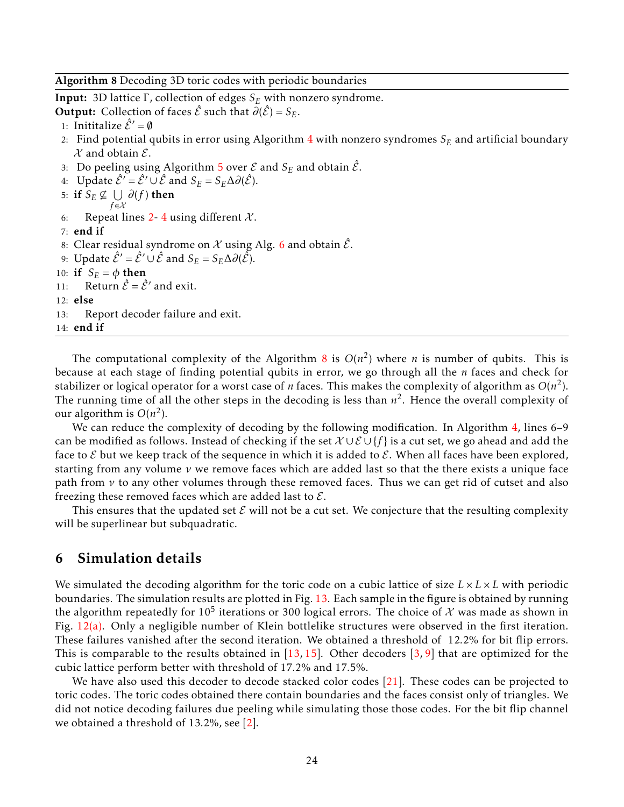Algorithm 8 Decoding 3D toric codes with periodic boundaries

Input: 3D lattice Γ, collection of edges *S<sup>E</sup>* with nonzero syndrome.

**Output:** Collection of faces  $\hat{\mathcal{E}}$  such that  $\partial(\hat{\mathcal{E}}) = S_E$ .

- 1: Inititalize  $\hat{\mathcal{E}}' = \emptyset$
- 2: Find potential qubits in error using Algorithm 4 with nonzero syndromes *S<sup>E</sup>* and artificial boundary  $\mathcal X$  and obtain  $\mathcal E$ .
- 3: Do peeling using Algorithm 5 over  $\mathcal E$  and  $S_E$  and obtain  $\hat{\mathcal E}$ .
- 4: Update  $\hat{\mathcal{E}}' = \hat{\mathcal{E}}' \cup \hat{\mathcal{E}}$  and  $S_E = S_E \Delta \partial(\hat{\mathcal{E}})$ .
- 5: if  $S_E \not\subseteq \bigcup \partial(f)$  then *f* ∈X 6: Repeat lines 2-4 using different  $\mathcal{X}$ . 7: end if 8: Clear residual syndrome on X using Alg. 6 and obtain  $\hat{\mathcal{E}}$ . 9: Update  $\hat{\mathcal{E}}' = \hat{\mathcal{E}}' \cup \hat{\mathcal{E}}$  and  $S_E = S_E \Delta \partial(\hat{\mathcal{E}})$ . 10: if  $S_E = \phi$  then 11: Return  $\hat{\mathcal{E}} = \hat{\mathcal{E}}'$  and exit.
- 12: else
- 13: Report decoder failure and exit.

```
14: end if
```
The computational complexity of the Algorithm 8 is  $O(n^2)$  where *n* is number of qubits. This is because at each stage of finding potential qubits in error, we go through all the *n* faces and check for stabilizer or logical operator for a worst case of  $n$  faces. This makes the complexity of algorithm as  $O(n^2)$ . The running time of all the other steps in the decoding is less than *n* 2 . Hence the overall complexity of our algorithm is  $O(n^2)$ .

We can reduce the complexity of decoding by the following modification. In Algorithm 4, lines 6–9 can be modified as follows. Instead of checking if the set X ∪ E ∪ {*f* } is a cut set, we go ahead and add the face to  $\mathcal E$  but we keep track of the sequence in which it is added to  $\mathcal E$ . When all faces have been explored, starting from any volume *ν* we remove faces which are added last so that the there exists a unique face path from *ν* to any other volumes through these removed faces. Thus we can get rid of cutset and also freezing these removed faces which are added last to  $\mathcal{E}$ .

This ensures that the updated set  $\mathcal E$  will not be a cut set. We conjecture that the resulting complexity will be superlinear but subquadratic.

## 6 Simulation details

We simulated the decoding algorithm for the toric code on a cubic lattice of size  $L \times L \times L$  with periodic boundaries. The simulation results are plotted in Fig. 13. Each sample in the figure is obtained by running the algorithm repeatedly for 10<sup>5</sup> iterations or 300 logical errors. The choice of  ${\cal X}$  was made as shown in Fig.  $12(a)$ . Only a negligible number of Klein bottlelike structures were observed in the first iteration. These failures vanished after the second iteration. We obtained a threshold of 12*.*2% for bit flip errors. This is comparable to the results obtained in  $[13, 15]$ . Other decoders  $[3, 9]$  that are optimized for the cubic lattice perform better with threshold of 17*.*2% and 17*.*5%.

We have also used this decoder to decode stacked color codes [21]. These codes can be projected to toric codes. The toric codes obtained there contain boundaries and the faces consist only of triangles. We did not notice decoding failures due peeling while simulating those those codes. For the bit flip channel we obtained a threshold of 13*.*2%, see [2].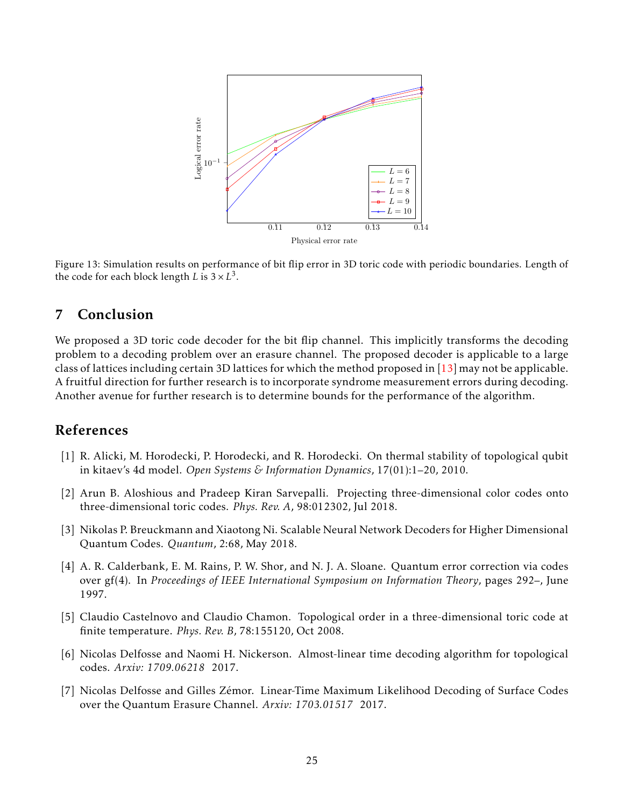

Figure 13: Simulation results on performance of bit flip error in 3D toric code with periodic boundaries. Length of the code for each block length *L* is  $3 \times L^3$ .

# 7 Conclusion

We proposed a 3D toric code decoder for the bit flip channel. This implicitly transforms the decoding problem to a decoding problem over an erasure channel. The proposed decoder is applicable to a large class of lattices including certain 3D lattices for which the method proposed in  $[13]$  may not be applicable. A fruitful direction for further research is to incorporate syndrome measurement errors during decoding. Another avenue for further research is to determine bounds for the performance of the algorithm.

# References

- [1] R. Alicki, M. Horodecki, P. Horodecki, and R. Horodecki. On thermal stability of topological qubit in kitaev's 4d model. *Open Systems & Information Dynamics*, 17(01):1–20, 2010.
- [2] Arun B. Aloshious and Pradeep Kiran Sarvepalli. Projecting three-dimensional color codes onto three-dimensional toric codes. *Phys. Rev. A*, 98:012302, Jul 2018.
- [3] Nikolas P. Breuckmann and Xiaotong Ni. Scalable Neural Network Decoders for Higher Dimensional Quantum Codes. *Quantum*, 2:68, May 2018.
- [4] A. R. Calderbank, E. M. Rains, P. W. Shor, and N. J. A. Sloane. Quantum error correction via codes over gf(4). In *Proceedings of IEEE International Symposium on Information Theory*, pages 292–, June 1997.
- [5] Claudio Castelnovo and Claudio Chamon. Topological order in a three-dimensional toric code at finite temperature. *Phys. Rev. B*, 78:155120, Oct 2008.
- [6] Nicolas Delfosse and Naomi H. Nickerson. Almost-linear time decoding algorithm for topological codes. *Arxiv: 1709.06218* 2017.
- [7] Nicolas Delfosse and Gilles Zémor. Linear-Time Maximum Likelihood Decoding of Surface Codes over the Quantum Erasure Channel. *Arxiv: 1703.01517* 2017.